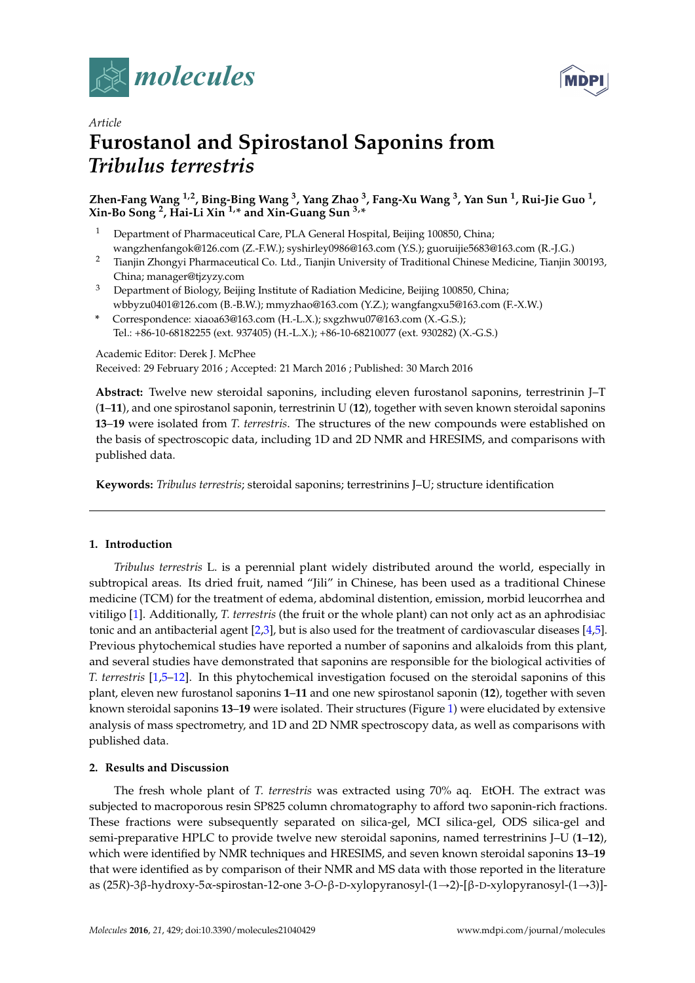



# *Article* **Furostanol and Spirostanol Saponins from** *Tribulus terrestris*

# **Zhen-Fang Wang 1,2, Bing-Bing Wang <sup>3</sup> , Yang Zhao <sup>3</sup> , Fang-Xu Wang <sup>3</sup> , Yan Sun <sup>1</sup> , Rui-Jie Guo <sup>1</sup> , Xin-Bo Song <sup>2</sup> , Hai-Li Xin 1,\* and Xin-Guang Sun 3,\***

- <sup>1</sup> Department of Pharmaceutical Care, PLA General Hospital, Beijing 100850, China; wangzhenfangok@126.com (Z.-F.W.); syshirley0986@163.com (Y.S.); guoruijie5683@163.com (R.-J.G.)
- <sup>2</sup> Tianjin Zhongyi Pharmaceutical Co. Ltd., Tianjin University of Traditional Chinese Medicine, Tianjin 300193, China; manager@tjzyzy.com
- <sup>3</sup> Department of Biology, Beijing Institute of Radiation Medicine, Beijing 100850, China; wbbyzu0401@126.com (B.-B.W.); mmyzhao@163.com (Y.Z.); wangfangxu5@163.com (F.-X.W.)
- **\*** Correspondence: xiaoa63@163.com (H.-L.X.); sxgzhwu07@163.com (X.-G.S.); Tel.: +86-10-68182255 (ext. 937405) (H.-L.X.); +86-10-68210077 (ext. 930282) (X.-G.S.)

Academic Editor: Derek J. McPhee Received: 29 February 2016 ; Accepted: 21 March 2016 ; Published: 30 March 2016

**Abstract:** Twelve new steroidal saponins, including eleven furostanol saponins, terrestrinin J–T (**1**–**11**), and one spirostanol saponin, terrestrinin U (**12**), together with seven known steroidal saponins **13**–**19** were isolated from *T. terrestris*. The structures of the new compounds were established on the basis of spectroscopic data, including 1D and 2D NMR and HRESIMS, and comparisons with published data.

**Keywords:** *Tribulus terrestris*; steroidal saponins; terrestrinins J–U; structure identification

# **1. Introduction**

*Tribulus terrestris* L. is a perennial plant widely distributed around the world, especially in subtropical areas. Its dried fruit, named "Jili" in Chinese, has been used as a traditional Chinese medicine (TCM) for the treatment of edema, abdominal distention, emission, morbid leucorrhea and vitiligo [\[1\]](#page-12-0). Additionally, *T. terrestris* (the fruit or the whole plant) can not only act as an aphrodisiac tonic and an antibacterial agent  $[2,3]$  $[2,3]$ , but is also used for the treatment of cardiovascular diseases  $[4,5]$  $[4,5]$ . Previous phytochemical studies have reported a number of saponins and alkaloids from this plant, and several studies have demonstrated that saponins are responsible for the biological activities of *T. terrestris* [\[1,](#page-12-0)[5](#page-12-4)[–12\]](#page-12-5). In this phytochemical investigation focused on the steroidal saponins of this plant, eleven new furostanol saponins **1**–**11** and one new spirostanol saponin (**12**), together with seven known steroidal saponins **13**–**19** were isolated. Their structures (Figure [1\)](#page-1-0) were elucidated by extensive analysis of mass spectrometry, and 1D and 2D NMR spectroscopy data, as well as comparisons with published data.

# **2. Results and Discussion**

The fresh whole plant of *T. terrestris* was extracted using 70% aq. EtOH. The extract was subjected to macroporous resin SP825 column chromatography to afford two saponin-rich fractions. These fractions were subsequently separated on silica-gel, MCI silica-gel, ODS silica-gel and semi-preparative HPLC to provide twelve new steroidal saponins, named terrestrinins J–U (**1**–**12**), which were identified by NMR techniques and HRESIMS, and seven known steroidal saponins **13**–**19** that were identified as by comparison of their NMR and MS data with those reported in the literature as (25*R*)-3β-hydroxy-5α-spirostan-12-one 3-O-β-D-xylopyranosyl-(1→2)-[β-D-xylopyranosyl-(1→3)]-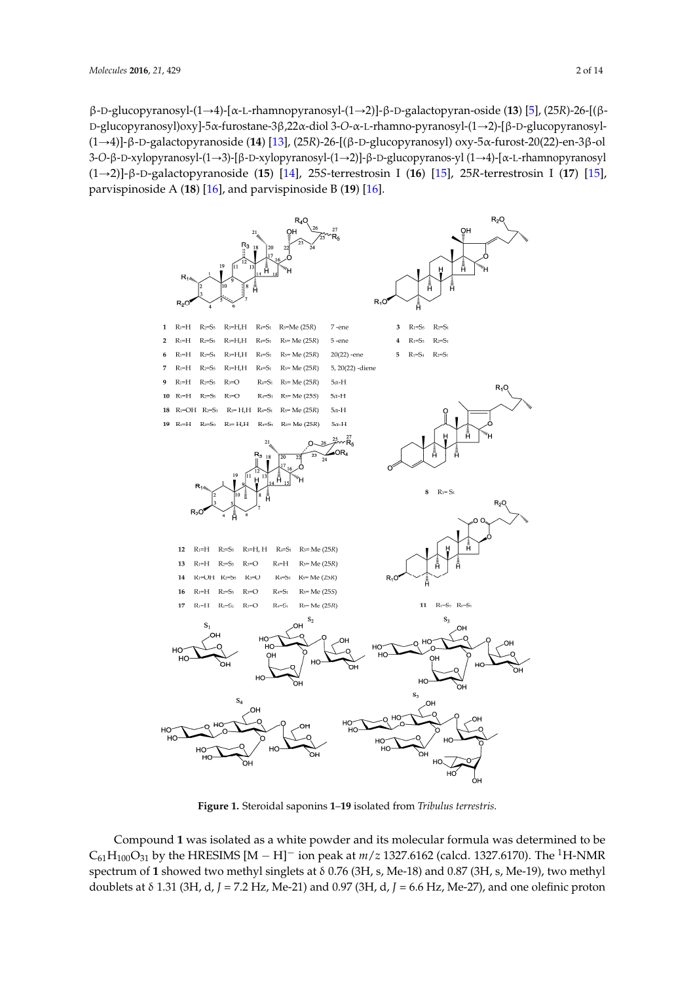β-D-glucopyranosyl-(1Ñ4)-[α-L-rhamnopyranosyl-(1Ñ2)]-β-D-galactopyran-oside (**13**) [\[5\]](#page-12-4), (25*R*)-26-[(β- $D$ -glucopyranosyl)oxy]-5α-furostane-3β,22α-diol 3-O-α-L-rhamno-pyranosyl-(1→2)-[β-D-glucopyranosyl-(1Ñ4)]-β-D-galactopyranoside (**14**) [\[13\]](#page-12-6), (25*R*)-26-[(β-D-glucopyranosyl) oxy-5α-furost-20(22)-en-3β-ol 3-O-β-D-xylopyranosyl-(1→3)-[β-D-xylopyranosyl-(1→2)]-β-D-glucopyranos-yl (1→4)-[α-L-rhamnopyranosyl  $(1\rightarrow 2)$ ]- $\beta$ -D-galactopyranoside (15) [\[14\]](#page-12-7), 25S-terrestrosin I (16) [\[15\]](#page-12-8), 25R-terrestrosin I (17) [15], parvispinoside A (**18**) [\[16\]](#page-13-0), and parvispinoside B (**19**) [\[16\]](#page-13-0). rhamnopyranosyl(1→2)]-β-D-galactopyranoside (**15**) [14], 25*S*-terrestrosin I (**16**) [15], 25*R*-terrestrosin I

<span id="page-1-0"></span>

**Figure 1.** Steroidal saponins **1**–**19** isolated from *Tribulus terrestris*. **Figure 1.** Steroidal saponins **1**–**19** isolated from *Tribulus terrestris*.

Compound 1 was isolated as a white powder and its molecular formula was determined to be  $C_{61}H_{100}O_{31}$  by the HRESIMS  $[M - H]$ <sup>-</sup> ion peak at  $m/z$  1327.6162 (calcd. 1327.6170). The <sup>1</sup>H-NMR spectrum of **1** showed two methyl singlets at δ 0.76 (3H, s, Me-18) and 0.87 (3H, s, Me-19), two methyl doublets at δ 1.31 (3H, d, *J* = 7.2 Hz, Me-21) and 0.97 (3H, d, *J* = 6.6 Hz, Me-27), and one olefinic proton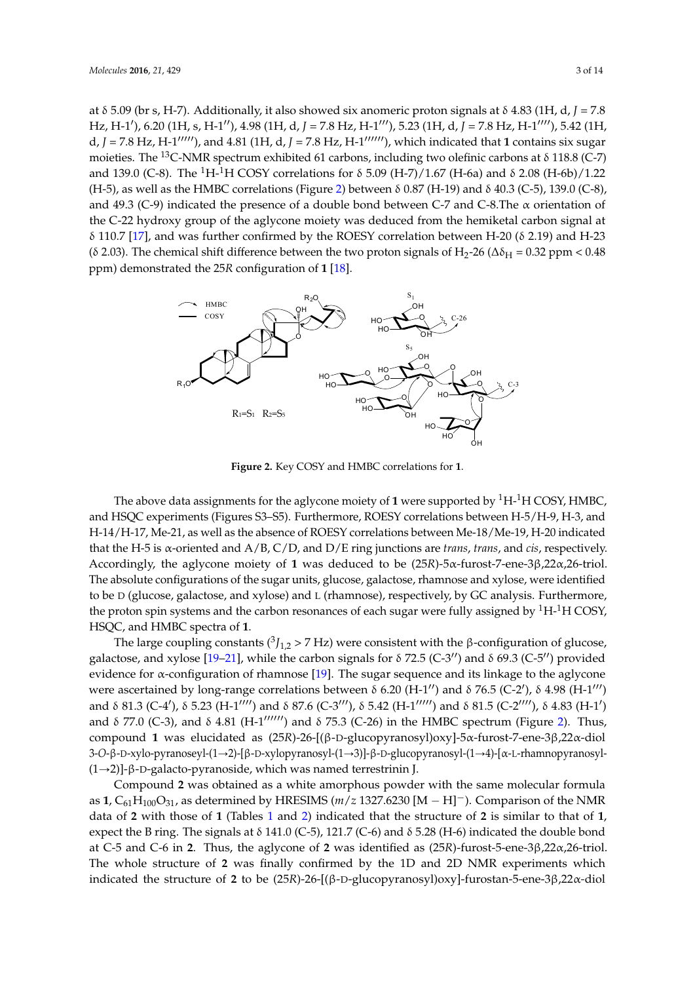at δ 5.09 (br s, H-7). Additionally, it also showed six anomeric proton signals at δ 4.83 (1H, d, *J* = 7.8 Hz, H-1′), 6.20 (1H, s, H-1′′), 4.98 (1H, d, J = 7.8 Hz, H-1′′′), 5.23 (1H, d, J = 7.8 Hz, H-1′′′′), 5.42 (1H, d,  $J = 7.8$  Hz, H-1 $''''$ ), and 4.81 (1H, d,  $J = 7.8$  Hz, H-1 $''''$ ), which indicated that 1 contains six sugar moieties. The <sup>13</sup>C-NMR spectrum exhibited 61 carbons, including two olefinic carbons at δ 118.8 (C-7) *and* 139.0 (C-8). The <sup>1</sup>H-<sup>1</sup>H COSY correlations for δ 5.09 (H-7)/1.67 (H-6a) and δ 2.08 (H-6b)/1.22 (H-5), as well as the HMBC correlations (Figure [2\)](#page-2-0) between δ 0.87 (H-19) and δ 40.3 (C-5), 139.0 (C-8), and 49.3 (C-9) indicated the presence of a double bond between C-7 and C-8.The  $\alpha$  orientation of the C-22 hydroxy group of the aglycone moiety was deduced from the hemiketal carbon signal at δ 110.7 [\[17\]](#page-13-1), and was further confirmed by the ROESY correlation between H-20 (δ 2.19) and H-23 (δ 2.03). The chemical shift difference between the two proton signals of H<sub>2</sub>-26 ( $\Delta \delta_H$  = 0.32 ppm < 0.48 ppm) demonstrated the 25*R* configuration of **1** [\[18\]](#page-13-2). demonstrated the 25*R* configuration of **1** [18].  $\frac{1}{2}$  C-0). The 11-11 COST correlations for 0.0.09 (11-7) i.o. (11-0a) and 0.2.00 (11-0a)  $\frac{1}{2}$  shift difference between the two proton signals of  $\frac{1}{2}$  so  $\frac{1}{2}$  ppm

<span id="page-2-0"></span>

**Figure 2.** Key COSY and HMBC correlations for **1**. **Figure 2.** Key COSY and HMBC correlations for **1**.

The above data assignments for the aglycone moiety of **1** were supported by  $^{1}$ H- $^{1}$ H COSY, HMBC, and HSQC experiments (Figures S3-S5). Furthermore, ROESY correlations between H-5/H-9, H-3, and H-20 indicated that the H-5 is α-oriented and A/B, C/D, and D/E ring junctions are *trans*, *trans*, and *cis*, *respectively, the absence of ROESY* correlations between Me-18/Me-19, H-20 indicated to be two correlations between Me-18/Me-19, H-20 indicated that the H-5 is α-oriented and A/B, C/D, and D/E ring junctions are *trans*, *trans*, and *cis*, respectively. Accordingly, the aglycone moiety of 1 was deduced to be (25*R*)-5α-furost-7-ene-3β,22α,26-triol. The absolute configurations of the sugar units, glucose, galactose, rhamnose and xylose, were identified to be D (glucose, galactose, and xylose) and L (rhamnose), respectively, by GC analysis. Furthermore, the proton spin systems and the carbon resonances of each sugar were fully assigned by <sup>1</sup>H-<sup>1</sup>H COSY, HSQC, and HMBC spectra of **1**.  $\frac{1}{2}$ . The sugar sequence and its linkage to the age to the age to the age to the aglycone and its linkage to the age to the age to the age to the age to the age to the age to the age to the age to the age to the age

The large coupling constants ( ${}^{3}J_{1,2}$  > 7 Hz) were consistent with the β-configuration of glucose, galactose, and xylose [\[19–](#page-13-3)[21\]](#page-13-4), while the carbon signals for  $\delta$  72.5 (C-3'') and  $\delta$  69.3 (C-5'') provided evidence for α-configuration of rhamnose [\[19\]](#page-13-3). The sugar sequence and its linkage to the aglycone were ascertained by long-range correlations between δ 6.20 (H-1<sup>11</sup>) and δ 76.5 (C-2<sup>1</sup>), δ 4.98 (H-1<sup>111</sup>) and δ 81.3 (C-4'), δ 5.23 (H-1'''') and δ 87.6 (C-3'''), δ 5.42 (H-1''''') and δ 81.5 (C-2''''), δ 4.83 (H-1')  $P_2$ (C), 15,401(T), 15 and  $\delta$  77.0 (C-3), and  $\delta$  4.81 (H-1<sup>111111</sup>) and  $\delta$  75.3 (C-26) in the HMBC spectrum (Figure [2\)](#page-2-0). Thus, **1**, C61H100O31, as determined by HRESIMS (*m*/*z* 1327.6230 [M − H]−). Comparison of the NMR data of compound **1** was elucidated as (25*R*)-26-[(β-D-glucopyranosyl)oxy]-5α-furost-7-ene-3β,22α-diol 3-O-β-D-xylo-pyranoseyl-(1→2)-[β-D-xylopyranosyl-(1→3)]-β-D-glucopyranosyl-(1→4)-[α-L-rhamnopyranosyl-(1→2)]-β-D-galacto-pyranoside, which was named terrestrinin J.

Compound 2 was obtained as a white amorphous powder with the same molecular formula  $\frac{1}{2}$  O as determined by HPECLAS (w.  $\approx 1227,6220$  LA Ultimated of the structure of the structure of  $\frac{1}{2}$  to be structure of  $\frac{1}{2}$  to be structure of  $\frac{1}{2}$  to be structure of  $\frac{1}{2}$  to be structure of as  $1, C_{61}H_{100}O_{31}$ , as determined by HRESIMS ( $m/z$  1327.6230 [M – H]<sup>-</sup>). Comparison of the NMR data of **2** with those of **1** (Tables [1](#page-4-0) and [2\)](#page-5-0) indicated that the structure of **2** is similar to that of **1**, expect the B ring. The signals at  $\delta$  141.0 (C-5), 121.7 (C-6) and  $\delta$  5.28 (H-6) indicated the double bond at C-5 and C-6 in **2**. Thus, the aglycone of **2** was identified as (25*R*)-furost-5-ene-3β,22α,26-triol. The whole structure of **2** was finally confirmed by the 1D and 2D NMR experiments which indicated the structure of **2** to be (25*R*)-26-[(β-D-glucopyranosyl)oxy]-furostan-5-ene-3β,22α*-*diol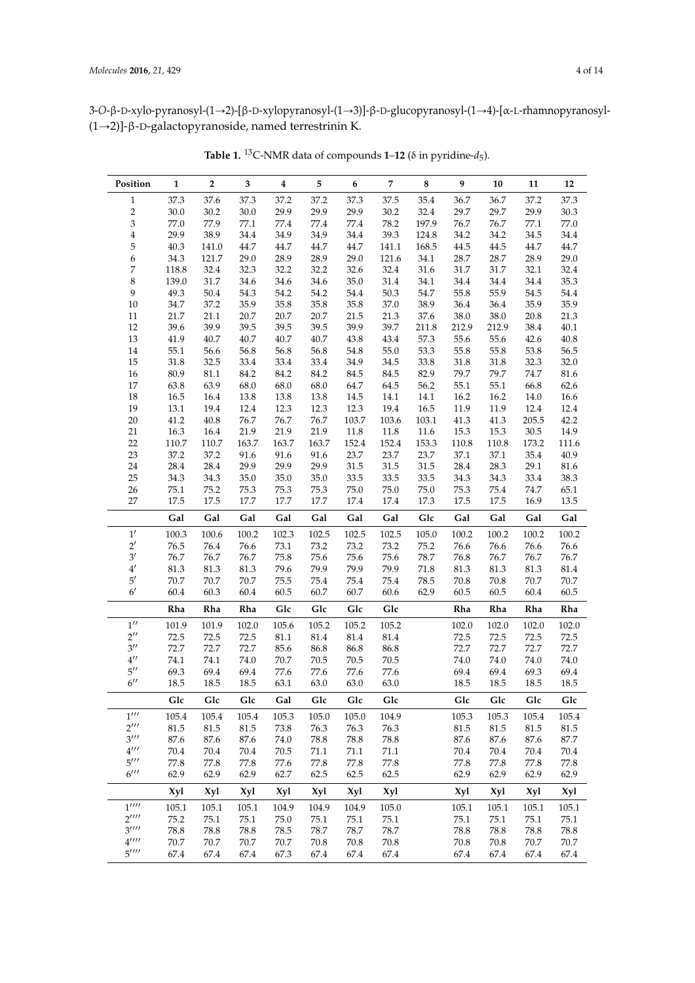3-O-β-D-xylo-pyranosyl-(1→2)-[β-D-xylopyranosyl-(1→3)]-β-D-glucopyranosyl-(1→4)-[α-L-rhamnopyranosyl-(1Ñ2)]-β-D-galactopyranoside, named terrestrinin K.

| Position                       | $\mathbf{1}$  | $\overline{2}$ | 3             | $\boldsymbol{4}$ | 5             | 6             | 7             | $\bf 8$      | 9             | 10            | 11            | 12                |
|--------------------------------|---------------|----------------|---------------|------------------|---------------|---------------|---------------|--------------|---------------|---------------|---------------|-------------------|
| $\mathbf 1$                    | 37.3          | 37.6           | 37.3          | 37.2             | 37.2          | 37.3          | 37.5          | 35.4         | 36.7          | 36.7          | 37.2          | 37.3              |
| $\overline{c}$                 | 30.0          | 30.2           | 30.0          | 29.9             | 29.9          | 29.9          | 30.2          | 32.4         | 29.7          | 29.7          | 29.9          | 30.3              |
| $\ensuremath{\mathfrak{Z}}$    | 77.0          | 77.9           | 77.1          | 77.4             | $77.4\,$      | 77.4          | 78.2          | 197.9        | 76.7          | 76.7          | 77.1          | 77.0              |
| $\overline{4}$                 | 29.9          | 38.9           | 34.4          | 34.9             | 34.9          | 34.4          | 39.3          | 124.8        | 34.2          | 34.2          | 34.5          | 34.4              |
| 5                              | 40.3          | 141.0          | 44.7          | 44.7             | 44.7          | 44.7          | 141.1         | 168.5        | 44.5          | 44.5          | 44.7          | 44.7              |
| 6                              | 34.3          | 121.7          | 29.0          | 28.9             | 28.9          | 29.0          | 121.6         | 34.1         | 28.7          | 28.7          | 28.9          | 29.0              |
| 7                              | 118.8         | 32.4           | 32.3          | 32.2             | 32.2          | 32.6          | 32.4          | $31.6\,$     | 31.7          | 31.7          | 32.1          | 32.4              |
| $\,$ 8 $\,$                    | 139.0         | 31.7           | 34.6          | 34.6             | 34.6          | 35.0          | 31.4          | 34.1         | 34.4          | 34.4          | 34.4          | 35.3              |
| 9                              | 49.3          | 50.4           | 54.3          | 54.2             | 54.2          | $54.4\,$      | $50.3\,$      | 54.7         | 55.8          | 55.9          | 54.5          | 54.4              |
| $10\,$                         | 34.7          | 37.2           | 35.9          | 35.8             | 35.8          | 35.8          | 37.0          | 38.9         | 36.4          | 36.4          | 35.9          | 35.9              |
| $11\,$                         | 21.7          | 21.1           | 20.7          | 20.7             | 20.7          | 21.5          | 21.3          | 37.6         | 38.0          | 38.0          | 20.8          | 21.3              |
| $12\,$                         | 39.6          | 39.9           | 39.5          | 39.5             | 39.5          | 39.9          | 39.7          | 211.8        | 212.9         | 212.9         | 38.4          | $40.1\,$          |
| 13                             | 41.9          | 40.7           | 40.7          | 40.7             | 40.7          | 43.8          | 43.4          | 57.3         | 55.6          | 55.6          | 42.6          | 40.8              |
| 14                             | $55.1\,$      | 56.6           | 56.8          | 56.8             | 56.8          | 54.8          | 55.0          | 53.3         | 55.8          | 55.8          | 53.8          | 56.5              |
| 15                             | 31.8          | 32.5           | 33.4          | 33.4             | 33.4          | 34.9          | 34.5          | 33.8         | 31.8          | $31.8\,$      | 32.3          | 32.0              |
| 16                             | 80.9          | $81.1\,$       | 84.2          | 84.2             | 84.2          | 84.5          | 84.5          | 82.9         | 79.7          | 79.7          | 74.7          | 81.6              |
| 17                             | 63.8          | 63.9           | 68.0          | 68.0             | 68.0          | 64.7          | 64.5          | 56.2         | $55.1\,$      | 55.1          | 66.8          | 62.6              |
| 18                             | 16.5          | 16.4           | 13.8          | 13.8             | 13.8          | 14.5          | 14.1          | 14.1         | 16.2          | 16.2          | 14.0          | $16.6\,$          |
| 19                             | $13.1\,$      | 19.4           | 12.4          | 12.3             | 12.3          | 12.3          | 19.4          | 16.5         | 11.9          | 11.9          | 12.4          | 12.4              |
| $20\,$                         | 41.2          | 40.8           | 76.7          | 76.7             | 76.7          | 103.7         | 103.6         | 103.1        | 41.3          | 41.3          | 205.5         | 42.2              |
| $21\,$                         | 16.3          | 16.4           | 21.9          | 21.9             | 21.9          | $11.8\,$      | 11.8          | 11.6         | 15.3          | 15.3          | $30.5\,$      | 14.9              |
| $22\,$                         | 110.7         | 110.7          | 163.7         | 163.7            | 163.7         | 152.4         | 152.4         | 153.3        | 110.8         | 110.8         | 173.2         | 111.6             |
| 23                             | 37.2          | 37.2           | 91.6          | 91.6             | 91.6          | 23.7          | 23.7          | 23.7         | 37.1          | 37.1          | 35.4          | 40.9              |
| 24                             | 28.4          | 28.4           | 29.9          | 29.9             | 29.9          | $31.5\,$      | 31.5          | 31.5         | 28.4          | 28.3          | 29.1          | $81.6\,$          |
| 25                             | 34.3          | 34.3           | 35.0          | 35.0             | 35.0          | 33.5          | 33.5          | 33.5         | 34.3          | 34.3          | 33.4          | 38.3              |
| 26                             | 75.1          | 75.2           | 75.3          | 75.3             | 75.3          | $75.0\,$      | 75.0          | $75.0\,$     | 75.3          | 75.4          | 74.7          | 65.1              |
| 27                             | 17.5          | 17.5           | 17.7          | 17.7             | 17.7          | 17.4          | 17.4          | 17.3         | 17.5          | 17.5          | 16.9          | $13.5\,$          |
|                                | Gal           | Gal            | Gal           | Gal              | Gal           | Gal           | Gal           | Glc          | Gal           | Gal           | Gal           | Gal               |
| 1'<br>$2^{\prime}$             | 100.3         | 100.6          | 100.2         | 102.3            | 102.5         | 102.5         | 102.5         | 105.0        | 100.2         | 100.2         | 100.2         | 100.2             |
| $3^{\prime}$                   | 76.5<br>76.7  | 76.4<br>76.7   | 76.6<br>76.7  | 73.1<br>75.8     | 73.2<br>75.6  | 73.2<br>75.6  | 73.2<br>75.6  | 75.2<br>78.7 | 76.6          | 76.6<br>76.7  | 76.6<br>76.7  | 76.6<br>76.7      |
| $4^{\prime}$                   | 81.3          | 81.3           | 81.3          | 79.6             | 79.9          | 79.9          | 79.9          | $71.8\,$     | 76.8<br>81.3  | 81.3          | 81.3          | 81.4              |
| $5^{\prime}$                   | $70.7\,$      | $70.7\,$       | 70.7          | 75.5             | 75.4          | 75.4          | 75.4          | 78.5         | 70.8          | 70.8          | 70.7          | $70.7\,$          |
| $6^{\prime}$                   | 60.4          | 60.3           | 60.4          | 60.5             | 60.7          | 60.7          | 60.6          | 62.9         | 60.5          | 60.5          | 60.4          | 60.5              |
|                                | Rha           | Rha            | Rha           | Glc              | Glc           | Glc           | Glc           |              | Rha           | Rha           | Rha           | Rha               |
| $1^{\prime\prime}$             |               |                |               | 105.6            |               |               |               |              |               |               |               |                   |
| $2^{\prime\prime}$             | 101.9<br>72.5 | 101.9<br>72.5  | 102.0<br>72.5 | 81.1             | 105.2<br>81.4 | 105.2<br>81.4 | 105.2<br>81.4 |              | 102.0<br>72.5 | 102.0<br>72.5 | 102.0<br>72.5 | 102.0<br>$72.5\,$ |
| $3^{\prime\prime}$             | 72.7          | 72.7           | 72.7          | 85.6             | 86.8          | 86.8          | 86.8          |              | 72.7          | 72.7          | 72.7          | 72.7              |
| $4^{\prime\prime}$             | 74.1          | 74.1           | 74.0          | 70.7             | 70.5          | 70.5          | 70.5          |              | 74.0          | 74.0          | 74.0          | 74.0              |
| $5^{\prime\prime}$             | 69.3          | 69.4           | 69.4          | 77.6             | 77.6          | 77.6          | 77.6          |              | 69.4          | 69.4          | 69.3          | 69.4              |
| $6^{\prime\prime}$             | 18.5          | 18.5           | 18.5          | 63.1             | 63.0          | 63.0          | 63.0          |              | 18.5          | 18.5          | 18.5          | 18.5              |
|                                | Glc           | Glc            | Glc           | Gal              | Glc           | Glc           | Glc           |              | Glc           | Glc           | Glc           | Glc               |
| $1^{\prime\prime\prime}$       |               | 105.4          | 105.4         | 105.3            | 105.0         | 105.0         | 104.9         |              | 105.3         | 105.3         | 105.4         | 105.4             |
| $2^{\prime\prime\prime}$       | 105.4<br>81.5 | 81.5           | 81.5          | 73.8             | 76.3          | 76.3          | 76.3          |              | 81.5          | 81.5          | 81.5          | 81.5              |
| $3^{\prime\prime\prime}$       |               | 87.6           | 87.6          | 74.0             | 78.8          | 78.8          | 78.8          |              | 87.6          | 87.6          | 87.6          | 87.7              |
| $4^{\prime\prime\prime}$       | 87.6<br>70.4  | 70.4           | 70.4          | 70.5             | 71.1          | 71.1          | 71.1          |              | 70.4          | 70.4          | 70.4          | 70.4              |
| $5^{\prime\prime\prime}$       | 77.8          | 77.8           | 77.8          | 77.6             | 77.8          | 77.8          | 77.8          |              | 77.8          | 77.8          | 77.8          | 77.8              |
| $6$ '''                        | 62.9          | 62.9           | 62.9          | 62.7             | 62.5          | 62.5          | 62.5          |              | 62.9          | 62.9          | 62.9          | 62.9              |
|                                | <b>Xyl</b>    | <b>Xyl</b>     | <b>Xyl</b>    | <b>Xyl</b>       | <b>Xyl</b>    | <b>Xyl</b>    | <b>Xyl</b>    |              | <b>Xyl</b>    | <b>Xyl</b>    | <b>Xyl</b>    | <b>Xyl</b>        |
| $1^{\prime\prime\prime\prime}$ | 105.1         | 105.1          | 105.1         | 104.9            | 104.9         | 104.9         | 105.0         |              | 105.1         | 105.1         | 105.1         | 105.1             |
| $2^{\prime\prime\prime\prime}$ | 75.2          | 75.1           | 75.1          | 75.0             | 75.1          | 75.1          | 75.1          |              | 75.1          | 75.1          | 75.1          | 75.1              |
| 3''''                          | 78.8          | 78.8           | 78.8          | 78.5             | 78.7          | 78.7          | 78.7          |              | 78.8          | 78.8          | 78.8          | 78.8              |
| $4^{\prime\prime\prime\prime}$ | 70.7          | 70.7           | 70.7          | 70.7             | $70.8\,$      | $70.8\,$      | 70.8          |              | 70.8          | 70.8          | 70.7          | 70.7              |
| $5^{\prime\prime\prime\prime}$ | 67.4          | 67.4           | 67.4          | 67.3             | 67.4          | 67.4          | 67.4          |              | 67.4          | 67.4          | 67.4          | 67.4              |
|                                |               |                |               |                  |               |               |               |              |               |               |               |                   |

**Table 1.** <sup>13</sup>C-NMR data of compounds **1**–**12** (δ in pyridine-*d*<sup>5</sup> ).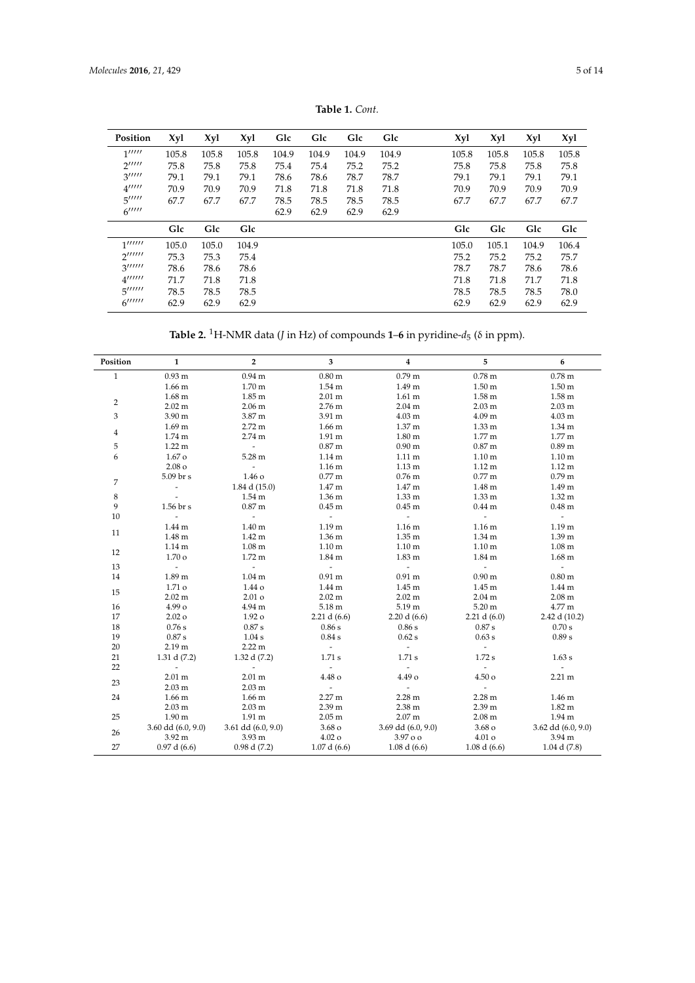<span id="page-4-0"></span>

| Position                                   | Xyl   | Xyl   | Xyl   | Glc   | Glc   | Glc   | Glc   | Xyl   | Xyl   | Xyl   | Xyl   |
|--------------------------------------------|-------|-------|-------|-------|-------|-------|-------|-------|-------|-------|-------|
| 1''''''                                    | 105.8 | 105.8 | 105.8 | 104.9 | 104.9 | 104.9 | 104.9 | 105.8 | 105.8 | 105.8 | 105.8 |
| $2^{\prime\prime\prime\prime\prime}$       | 75.8  | 75.8  | 75.8  | 75.4  | 75.4  | 75.2  | 75.2  | 75.8  | 75.8  | 75.8  | 75.8  |
| $3^{\prime\prime\prime\prime\prime}$       | 79.1  | 79.1  | 79.1  | 78.6  | 78.6  | 78.7  | 78.7  | 79.1  | 79.1  | 79.1  | 79.1  |
| $4^{\prime\prime\prime\prime\prime}$       | 70.9  | 70.9  | 70.9  | 71.8  | 71.8  | 71.8  | 71.8  | 70.9  | 70.9  | 70.9  | 70.9  |
| 5''''''                                    | 67.7  | 67.7  | 67.7  | 78.5  | 78.5  | 78.5  | 78.5  | 67.7  | 67.7  | 67.7  | 67.7  |
| $6$ <sup><math>11111</math></sup>          |       |       |       | 62.9  | 62.9  | 62.9  | 62.9  |       |       |       |       |
|                                            | Glc   | Glc   | Glc   |       |       |       |       | Glc   | Glc   | Glc   | Glc   |
| 1''''''''                                  | 105.0 | 105.0 | 104.9 |       |       |       |       | 105.0 | 105.1 | 104.9 | 106.4 |
| $2^{\prime\prime\prime\prime\prime\prime}$ | 75.3  | 75.3  | 75.4  |       |       |       |       | 75.2  | 75.2  | 75.2  | 75.7  |
| 3''''''                                    | 78.6  | 78.6  | 78.6  |       |       |       |       | 78.7  | 78.7  | 78.6  | 78.6  |
| $4^{\prime\prime\prime\prime\prime\prime}$ | 71.7  | 71.8  | 71.8  |       |       |       |       | 71.8  | 71.8  | 71.7  | 71.8  |
| $5^{\prime\prime\prime\prime\prime\prime}$ | 78.5  | 78.5  | 78.5  |       |       |       |       | 78.5  | 78.5  | 78.5  | 78.0  |
| $6$ <sup><math>111111</math></sup>         | 62.9  | 62.9  | 62.9  |       |       |       |       | 62.9  | 62.9  | 62.9  | 62.9  |

**Table 1.** *Cont.*

**Table 2.** <sup>1</sup>H-NMR data (*J* in Hz) of compounds **1**–**6** in pyridine-*d*<sup>5</sup> (δ in ppm).

| Position       | $\mathbf{1}$             | $\mathbf{2}$           | 3                   | $\overline{\mathbf{4}}$     | 5                   | 6                        |
|----------------|--------------------------|------------------------|---------------------|-----------------------------|---------------------|--------------------------|
| $\mathbf{1}$   | 0.93 <sub>m</sub>        | 0.94 <sub>m</sub>      | $0.80 \text{ m}$    | 0.79 <sub>m</sub>           | $0.78$ m            | $0.78$ m                 |
|                | 1.66 <sub>m</sub>        | 1.70 <sub>m</sub>      | 1.54 <sub>m</sub>   | 1.49 m                      | 1.50 <sub>m</sub>   | 1.50 <sub>m</sub>        |
|                | $1.68 \text{ m}$         | $1.85 \text{ m}$       | $2.01 \text{ m}$    | $1.61 \text{ m}$            | $1.58 \text{ m}$    | $1.58 \text{ m}$         |
| $\overline{2}$ | $2.02 \text{ m}$         | 2.06 <sub>m</sub>      | 2.76 m              | 2.04 <sub>m</sub>           | 2.03 <sub>m</sub>   | $2.03 \text{ m}$         |
| 3              | 3.90 m                   | 3.87 m                 | 3.91 m              | 4.03 m                      | 4.09 <sub>m</sub>   | 4.03 m                   |
|                | 1.69 <sub>m</sub>        | $2.72 \text{ m}$       | 1.66 <sub>m</sub>   | 1.37 m                      | 1.33 <sub>m</sub>   | 1.34 m                   |
| $\overline{4}$ | $1.74 \text{ m}$         | 2.74 <sub>m</sub>      | $1.91 \text{ m}$    | $1.80 \text{ m}$            | $1.77 \text{ m}$    | $1.77 \text{ m}$         |
| 5              | $1.22 \text{ m}$         | $\sim$                 | 0.87 <sub>m</sub>   | 0.90 <sub>m</sub>           | 0.87 <sub>m</sub>   | 0.89 <sub>m</sub>        |
| 6              | 1.67 <sub>o</sub>        | 5.28 m                 | 1.14 <sub>m</sub>   | $1.11 \text{ m}$            | 1.10 <sub>m</sub>   | 1.10 <sub>m</sub>        |
|                | 2.08 <sub>o</sub>        | $\sim$                 | 1.16 <sub>m</sub>   | 1.13 <sub>m</sub>           | $1.12 \text{ m}$    | $1.12 \text{ m}$         |
|                | 5.09 br s                | 1.46 o                 | $0.77$ m            | $0.76$ m                    | $0.77$ m            | 0.79 <sub>m</sub>        |
| 7              | $\overline{\phantom{a}}$ | 1.84 d (15.0)          | 1.47 m              | 1.47 m                      | $1.48 \text{ m}$    | 1.49 m                   |
| $\,$ 8 $\,$    |                          | $1.54 \text{ m}$       | 1.36 <sub>m</sub>   | $1.33 \text{ m}$            | 1.33 <sub>m</sub>   | $1.32 \text{ m}$         |
| 9              | 1.56 br s                | 0.87 <sub>m</sub>      | 0.45 <sub>m</sub>   | $0.45$ m                    | 0.44 <sub>m</sub>   | $0.48$ m                 |
| 10             | $\overline{a}$           | $\Delta \sim 10$       | $\sim$              | $\omega_{\rm{max}}$         | $\omega_{\rm{eff}}$ | $\omega_{\rm{eff}}$      |
| 11             | 1.44 <sub>m</sub>        | 1.40 <sub>m</sub>      | 1.19 <sub>m</sub>   | $1.16 \text{ m}$            | 1.16 <sub>m</sub>   | 1.19 <sub>m</sub>        |
|                | $1.48 \text{ m}$         | $1.42 \text{ m}$       | 1.36 <sub>m</sub>   | 1.35 <sub>m</sub>           | 1.34 m              | 1.39 m                   |
|                | 1.14 <sub>m</sub>        | $1.08 \text{ m}$       | 1.10 <sub>m</sub>   | 1.10 <sub>m</sub>           | 1.10 <sub>m</sub>   | $1.08 \text{ m}$         |
| 12             | 1.70 <sub>o</sub>        | $1.72 \text{ m}$       | 1.84 m              | $1.83 \text{ m}$            | $1.84 \text{ m}$    | $1.68$ m                 |
| 13             | $\sim$                   | $\omega_{\rm{max}}$    | $\omega_{\rm{max}}$ | $\mathcal{L}^{\mathcal{A}}$ | $\sim$              | $\sim 10^{-11}$          |
| 14             | 1.89 m                   | $1.04 \text{ m}$       | $0.91 \text{ m}$    | $0.91 \text{ m}$            | 0.90 <sub>m</sub>   | 0.80 <sub>m</sub>        |
|                | 1.71 <sub>o</sub>        | 1.44 o                 | 1.44 <sub>m</sub>   | $1.45 \text{ m}$            | 1.45 <sub>m</sub>   | 1.44 m                   |
| 15             | $2.02 \text{ m}$         | 2.01 <sub>o</sub>      | 2.02 m              | $2.02 \text{ m}$            | 2.04 <sub>m</sub>   | $2.08$ m                 |
| 16             | 4.99 o                   | 4.94 m                 | 5.18 m              | 5.19 m                      | $5.20 \text{ m}$    | 4.77 m                   |
| 17             | 2.02 <sub>o</sub>        | 1.92 o                 | 2.21 d $(6.6)$      | 2.20 d (6.6)                | 2.21 d $(6.0)$      | 2.42 d (10.2)            |
| 18             | 0.76s                    | 0.87 s                 | 0.86 s              | 0.86s                       | 0.87 s              | 0.70 s                   |
| 19             | 0.87 s                   | 1.04 s                 | 0.84 s              | $0.62$ s                    | 0.63 s              | 0.89 s                   |
| 20             | 2.19 <sub>m</sub>        | 2.22 m                 | $\sim$              | $\sim$ $-$                  | $\sim$              |                          |
| 21             | 1.31 d $(7.2)$           | 1.32 d $(7.2)$         | 1.71 s              | 1.71 s                      | 1.72 s              | 1.63 s                   |
| 22             | $\sim$                   | $\sim$                 | $\omega$            | $\sim$                      | $\sim$              | $\overline{\phantom{0}}$ |
|                | $2.01 \text{ m}$         | $2.01 \text{ m}$       | 4.48 o              | 4.49 o                      | 4.50 <sub>o</sub>   | $2.21 \text{ m}$         |
| 23             | 2.03 <sub>m</sub>        | 2.03 <sub>m</sub>      | $\sim$              | $\sim$                      | $\sim$              |                          |
| 24             | $1.66$ m                 | 1.66 <sub>m</sub>      | 2.27 m              | $2.28 \text{ m}$            | $2.28 \text{ m}$    | 1.46 m                   |
|                | 2.03 <sub>m</sub>        | 2.03 <sub>m</sub>      | 2.39 m              | $2.38 \text{ m}$            | 2.39 m              | $1.82 \text{ m}$         |
| 25             | 1.90 <sub>m</sub>        | $1.91 \text{ m}$       | 2.05 <sub>m</sub>   | 2.07 <sub>m</sub>           | $2.08 \text{ m}$    | $1.94 \text{ m}$         |
|                | $3.60$ dd $(6.0, 9.0)$   | $3.61$ dd $(6.0, 9.0)$ | 3.68 <sub>o</sub>   | 3.69 dd (6.0, 9.0)          | 3.68 <sub>o</sub>   | 3.62 dd (6.0, 9.0)       |
| 26             | $3.92 \text{ m}$         | 3.93 <sub>m</sub>      | $4.02\,\mathrm{o}$  | $3.97$ o o                  | $4.01\,\mathrm{o}$  | 3.94 m                   |
| 27             | 0.97 d (6.6)             | 0.98 d(7.2)            | 1.07 d (6.6)        | 1.08 d(6.6)                 | 1.08 d(6.6)         | $1.04$ d $(7.8)$         |
|                |                          |                        |                     |                             |                     |                          |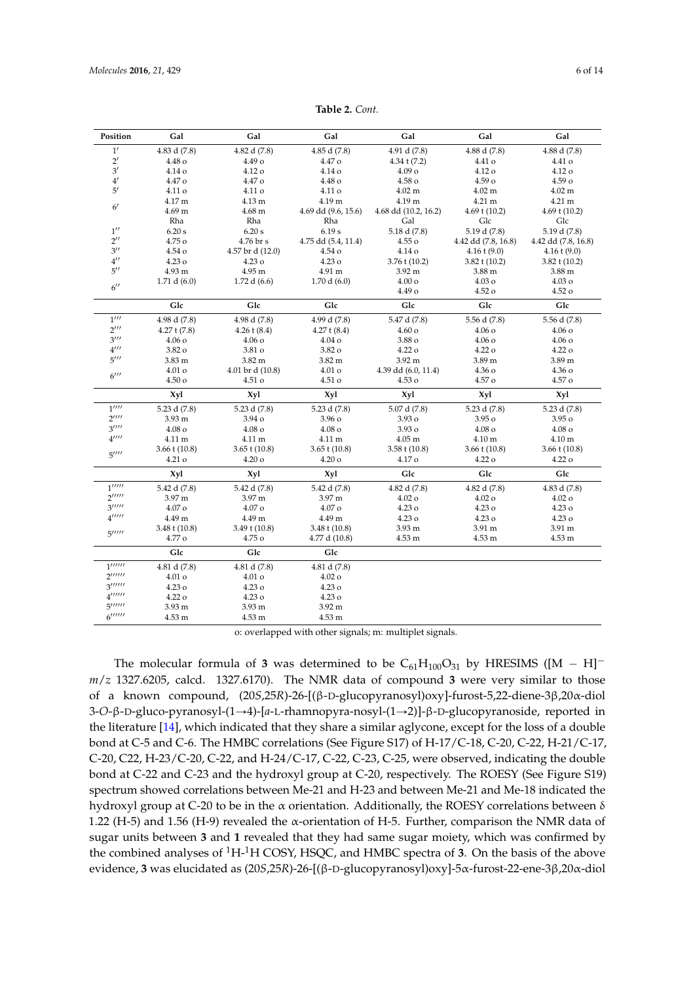<span id="page-5-0"></span>

| Position                                        | Gal                | Gal                | Gal                 | Gal                  | Gal                 | Gal                 |
|-------------------------------------------------|--------------------|--------------------|---------------------|----------------------|---------------------|---------------------|
| 1'                                              | 4.83 d (7.8)       | 4.82 d (7.8)       | 4.85 d(7.8)         | 4.91 d (7.8)         | 4.88 d (7.8)        | 4.88 d (7.8)        |
| $2^{\prime}$                                    | 4.48 o             | 4.49 <sub>o</sub>  | $4.47\,\mathrm{o}$  | 4.34 t $(7.2)$       | 4.41 o              | 4.41 o              |
| 3'                                              | 4.14 o             | 4.12 o             | 4.14 o              | 4.09 <sub>o</sub>    | 4.12 o              | 4.12 o              |
| 4'                                              | 4.47 o             | 4.47 o             | 4.48 o              | 4.58 <sub>o</sub>    | 4.59 <sub>o</sub>   | 4.59 о              |
| 5'                                              | 4.11 o             | 4.11 o             | 4.11 o              | $4.02 \text{ m}$     | $4.02 \text{ m}$    | $4.02 \text{ m}$    |
| $6^{\prime}$                                    | 4.17 m             | 4.13 m             | 4.19 m              | 4.19 m               | 4.21 m              | 4.21 m              |
|                                                 | 4.69 <sub>m</sub>  | $4.68 \text{ m}$   | 4.69 dd (9.6, 15.6) | 4.68 dd (10.2, 16.2) | 4.69 t $(10.2)$     | 4.69 t $(10.2)$     |
|                                                 | Rha                | Rha                | Rha                 | Gal                  | Glc                 | Glc                 |
| $1^{\prime\prime}$                              | 6.20 s             | 6.20 s             | 6.19 s              | 5.18 d (7.8)         | 5.19 d (7.8)        | 5.19 d (7.8)        |
| $2^{\prime\prime}$                              | 4.75 o             | 4.76 br s          | 4.75 dd (5.4, 11.4) | $4.55\,\mathrm{o}$   | 4.42 dd (7.8, 16.8) | 4.42 dd (7.8, 16.8) |
| $3^{\prime\prime}$                              | 4.54 o             | 4.57 br d (12.0)   | 4.54 o              | 4.14 o               | $4.16 \t(9.0)$      | $4.16 \t(9.0)$      |
| $4^{\prime\prime}$                              | 4.23 o             | $4.23\,\mathrm{o}$ | 4.23 <sub>o</sub>   | $3.76$ t (10.2)      | $3.82$ t (10.2)     | $3.82$ t (10.2)     |
| $5^{\prime\prime}$                              | 4.93 m             | 4.95 m             | 4.91 m              | 3.92 <sub>m</sub>    | 3.88 m              | 3.88 m              |
| $6^{\prime\prime}$                              | 1.71 d $(6.0)$     | 1.72 d $(6.6)$     | 1.70 d(6.0)         | $4.00\,\mathrm{o}$   | $4.03\,\mathrm{o}$  | 4.03 <sub>o</sub>   |
|                                                 |                    |                    |                     | 4.49 o               | 4.52 <sub>o</sub>   | $4.52\,\mathrm{o}$  |
|                                                 | Glc                | Glc                | Glc                 | Glc                  | Glc                 | Glc                 |
| $1^{\prime\prime\prime}$                        | 4.98 d (7.8)       | 4.98 d (7.8)       | 4.99 d (7.8)        | 5.47 d (7.8)         | 5.56 d (7.8)        | 5.56 d (7.8)        |
| $2^{\prime\prime\prime}$                        | $4.27$ t $(7.8)$   | $4.26$ t $(8.4)$   | $4.27$ t $(8.4)$    | 4.60 <sub>o</sub>    | $4.06\,\mathrm{o}$  | 4.06 о              |
| 3''''                                           | $4.06\,\mathrm{o}$ | $4.06\,\mathrm{o}$ | $4.04\,\sigma$      | 3.88 o               | $4.06\,\mathrm{o}$  | $4.06\,\mathrm{o}$  |
| $4^{\prime\prime\prime}$                        | 3.82 o             | 3.81 o             | 3.82 o              | 4.22 <sub>o</sub>    | 4.22 <sub>o</sub>   | 4.22 <sub>o</sub>   |
| 5''''                                           | 3.83 <sub>m</sub>  | 3.82 m             | $3.82 \text{ m}$    | 3.92 <sub>m</sub>    | 3.89 m              | 3.89 m              |
| $6$ <sup><math>\prime\prime\prime</math></sup>  | 4.01 o             | 4.01 br d (10.8)   | $4.01\,\mathrm{o}$  | 4.39 dd (6.0, 11.4)  | $4.36\,\mathrm{o}$  | $4.36\,\mathrm{o}$  |
|                                                 | $4.50\,\mathrm{o}$ | 4.51 o             | 4.51 o              | 4.53 o               | 4.57 o              | 4.57 o              |
|                                                 | Xyl                | Xyl                | Xyl                 | Xyl                  | Xyl                 | Xyl                 |
| $1^{\prime\prime\prime\prime}$                  | 5.23 d (7.8)       | 5.23 d (7.8)       | 5.23 d (7.8)        | 5.07 d (7.8)         | 5.23 d (7.8)        | 5.23 d (7.8)        |
| $2^{\prime\prime\prime\prime}$                  | 3.93 <sub>m</sub>  | 3.94 o             | 3.96 <sub>o</sub>   | 3.93 o               | 3.95 <sub>o</sub>   | 3.95 <sub>o</sub>   |
| $3^{\prime\prime\prime\prime}$                  | $4.08\,\mathrm{o}$ | 4.08 <sub>o</sub>  | $4.08\,\mathrm{o}$  | 3.93 o               | $4.08\,\mathrm{o}$  | $4.08\,\mathrm{o}$  |
| $4^{\prime\prime\prime\prime}$                  | 4.11 m             | 4.11 m             | 4.11 m              | $4.05 \text{ m}$     | 4.10 m              | 4.10 m              |
| 5''''                                           | $3.66 \t(10.8)$    | $3.65 \t(10.8)$    | $3.65$ t $(10.8)$   | $3.58 \t(10.8)$      | $3.66 \t(10.8)$     | $3.66 \t(10.8)$     |
|                                                 | 4.21 o             | $4.20\,\mathrm{o}$ | $4.20\,\mathrm{o}$  | 4.17 o               | 4.22 o              | 4.22 <sub>o</sub>   |
|                                                 | Xyl                | Xyl                | Xyl                 | Glc                  | Glc                 | Glc                 |
| 1                                               | 5.42 d (7.8)       | 5.42 d (7.8)       | 5.42 d (7.8)        | 4.82 d (7.8)         | 4.82 d (7.8)        | 4.83 d (7.8)        |
| $2^{\prime\prime\prime\prime\prime}$            | 3.97 m             | 3.97 m             | 3.97 m              | $4.02\,\mathrm{o}$   | $4.02\,\mathrm{o}$  | $4.02\,\mathrm{o}$  |
| 3''''''                                         | $4.07\,\mathrm{o}$ | $4.07\,\mathrm{o}$ | 4.07 <sub>o</sub>   | 4.23 <sub>o</sub>    | 4.23 o              | 4.23 <sub>o</sub>   |
| $4^{\prime\prime\prime\prime\prime}$            | 4.49 m             | 4.49 m             | 4.49 m              | 4.23 <sub>o</sub>    | $4.23\,\mathrm{o}$  | 4.23 <sub>o</sub>   |
| 5''''''                                         | $3.48 \t1(10.8)$   | $3.49 \t(10.8)$    | $3.48 \t(10.8)$     | 3.93 m               | 3.91 m              | 3.91 m              |
|                                                 | 4.77 o             | 4.75 o             | 4.77 d (10.8)       | 4.53 m               | 4.53 m              | 4.53 m              |
|                                                 | Glc                | Glc                | Glc                 |                      |                     |                     |
| $\overline{1''''''}$                            | 4.81 d (7.8)       | 4.81 d (7.8)       | 4.81 d (7.8)        |                      |                     |                     |
| $2^{\prime\prime\prime\prime\prime\prime}$      | 4.01 o             | $4.01\,\mathrm{o}$ | $4.02\,\mathrm{o}$  |                      |                     |                     |
| 3'''''                                          | 4.23 o             | 4.23 o             | 4.23 o              |                      |                     |                     |
| $4$ <sup><math>1</math>11111</sup>              | 4.22 <sub>o</sub>  | $4.23\,\mathrm{o}$ | 4.23 <sub>o</sub>   |                      |                     |                     |
| $5^{\prime\prime\prime\prime\prime\prime}$      | 3.93 <sub>m</sub>  | 3.93 m             | 3.92 m              |                      |                     |                     |
| $6$ <sup><math>\mu</math><math>\mu</math></sup> | 4.53 m             | 4.53 m             | 4.53 m              |                      |                     |                     |

**Table 2.** *Cont.*

o: overlapped with other signals; m: multiplet signals.

The molecular formula of **3** was determined to be  $C_{61}H_{100}O_{31}$  by HRESIMS ( $[M - H]$ <sup>-</sup> *m*/*z* 1327.6205, calcd. 1327.6170). The NMR data of compound **3** were very similar to those of a known compound, (20*S*,25*R*)-26-[(β-D-glucopyranosyl)oxy]-furost-5,22-diene-3β,20α-diol 3-*O*-β-D-gluco-pyranosyl-(1→4)-[*a*-L-rhamnopyra-nosyl-(1→2)]-β-D-glucopyranoside, reported in the literature [\[14\]](#page-12-7), which indicated that they share a similar aglycone, except for the loss of a double bond at C-5 and C-6. The HMBC correlations (See Figure S17) of H-17/C-18, C-20, C-22, H-21/C-17, C-20, C22, H-23/C-20, C-22, and H-24/C-17, C-22, C-23, C-25, were observed, indicating the double bond at C-22 and C-23 and the hydroxyl group at C-20, respectively. The ROESY (See Figure S19) spectrum showed correlations between Me-21 and H-23 and between Me-21 and Me-18 indicated the hydroxyl group at C-20 to be in the α orientation. Additionally, the ROESY correlations between δ 1.22 (H-5) and 1.56 (H-9) revealed the  $\alpha$ -orientation of H-5. Further, comparison the NMR data of sugar units between **3** and **1** revealed that they had same sugar moiety, which was confirmed by the combined analyses of <sup>1</sup>H-1H COSY, HSQC, and HMBC spectra of **3**. On the basis of the above evidence, **3** was elucidated as (20*S*,25*R*)-26-[(β-D-glucopyranosyl)oxy]-5α-furost-22-ene-3β,20α-diol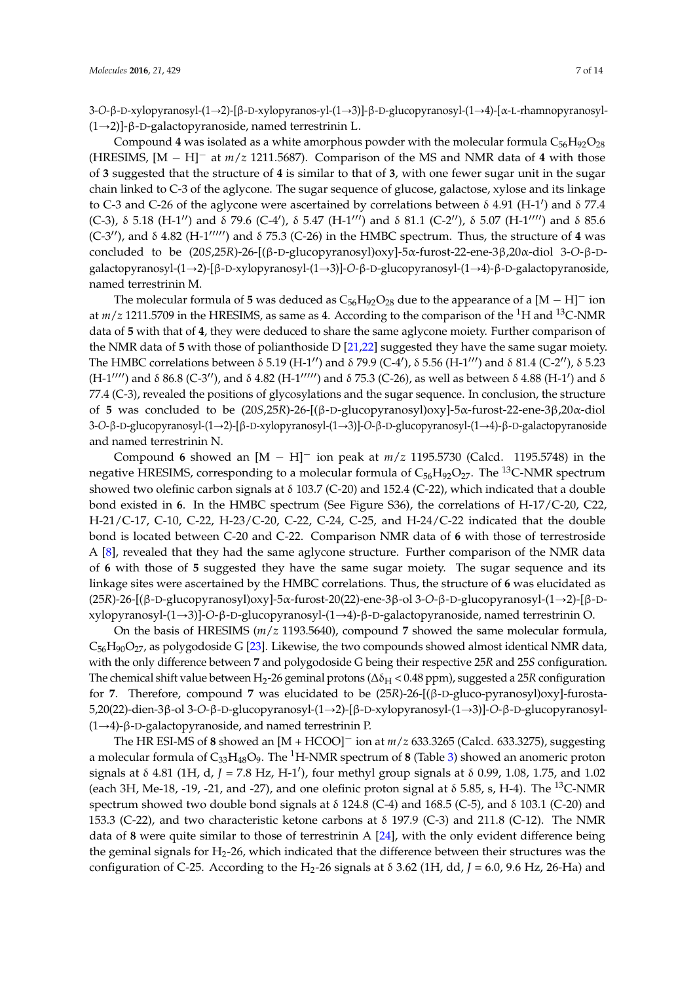3-*O*-β-D-xylopyranosyl-(1→2)-[β-D-xylopyranos-yl-(1→3)]-β-D-glucopyranosyl-(1→4)-[α-L-rhamnopyranosyl- $(1\rightarrow 2)$ ]-β-D-galactopyranoside, named terrestrinin L.

Compound 4 was isolated as a white amorphous powder with the molecular formula  $C_{56}H_{92}O_{28}$ (HRESIMS,  $[M - H]$ <sup>-</sup> at  $m/z$  1211.5687). Comparison of the MS and NMR data of 4 with those of **3** suggested that the structure of **4** is similar to that of **3**, with one fewer sugar unit in the sugar chain linked to C-3 of the aglycone. The sugar sequence of glucose, galactose, xylose and its linkage to C-3 and C-26 of the aglycone were ascertained by correlations between  $\delta$  4.91 (H-1') and  $\delta$  77.4 (C-3), δ 5.18 (H-1'') and δ 79.6 (C-4'), δ 5.47 (H-1''') and δ 81.1 (C-2''), δ 5.07 (H-1'''') and δ 85.6  $(C-3'')$ , and  $\delta$  4.82 (H-1<sup> $11111'$ </sup>) and  $\delta$  75.3 (C-26) in the HMBC spectrum. Thus, the structure of 4 was concluded to be (20*S*,25*R*)-26-[(β-D-glucopyranosyl)oxy]-5α-furost-22-ene-3β,20α-diol 3-*O*-β-Dgalactopyranosyl-(1→2)-[β-D-xylopyranosyl-(1→3)]-O-β-D-glucopyranosyl-(1→4)-β-D-galactopyranoside, named terrestrinin M.

The molecular formula of 5 was deduced as  $C_{56}H_{92}O_{28}$  due to the appearance of a  $[M - H]$ <sup>-</sup> ion at *m*/*z* 1211.5709 in the HRESIMS, as same as **4**. According to the comparison of the <sup>1</sup>H and <sup>13</sup>C-NMR data of **5** with that of **4**, they were deduced to share the same aglycone moiety. Further comparison of the NMR data of **5** with those of polianthoside D [\[21](#page-13-4)[,22\]](#page-13-5) suggested they have the same sugar moiety. The HMBC correlations between δ 5.19 (H-1'') and δ 79.9 (C-4'), δ 5.56 (H-1''') and δ 81.4 (C-2''), δ 5.23 (H-1'''') and δ 86.8 (C-3''), and δ 4.82 (H-1''''') and δ 75.3 (C-26), as well as between δ 4.88 (H-1') and δ 77.4 (C-3), revealed the positions of glycosylations and the sugar sequence. In conclusion, the structure of **5** was concluded to be (20*S*,25*R*)-26-[(β-D-glucopyranosyl)oxy]-5α-furost-22-ene-3β,20α-diol 3-O-β-D-glucopyranosyl-(1→2)-[β-D-xylopyranosyl-(1→3)]-O-β-D-glucopyranosyl-(1→4)-β-D-galactopyranoside and named terrestrinin N.

Compound 6 showed an  $[M - H]$ <sup>-</sup> ion peak at  $m/z$  1195.5730 (Calcd. 1195.5748) in the negative HRESIMS, corresponding to a molecular formula of  $C_{56}H_{92}O_{27}$ . The <sup>13</sup>C-NMR spectrum showed two olefinic carbon signals at δ 103.7 (C-20) and 152.4 (C-22), which indicated that a double bond existed in **6**. In the HMBC spectrum (See Figure S36), the correlations of H-17/C-20, C22, H-21/C-17, C-10, C-22, H-23/C-20, C-22, C-24, C-25, and H-24/C-22 indicated that the double bond is located between C-20 and C-22. Comparison NMR data of **6** with those of terrestroside A [\[8\]](#page-12-9), revealed that they had the same aglycone structure. Further comparison of the NMR data of **6** with those of **5** suggested they have the same sugar moiety. The sugar sequence and its linkage sites were ascertained by the HMBC correlations. Thus, the structure of **6** was elucidated as (25*R*)-26-[(β-D-glucopyranosyl)oxy]-5α-furost-20(22)-ene-3β-ol 3-O-β-D-glucopyranosyl-(1→2)-[β-Dxylopyranosyl-(1Ñ3)]-*O*-β-D-glucopyranosyl-(1Ñ4)-β-D-galactopyranoside, named terrestrinin O.

On the basis of HRESIMS (*m*/*z* 1193.5640), compound **7** showed the same molecular formula,  $C_{56}H_{90}O_{27}$ , as polygodoside G [\[23\]](#page-13-6). Likewise, the two compounds showed almost identical NMR data, with the only difference between **7** and polygodoside G being their respective 25*R* and 25*S* configuration. The chemical shift value between H<sub>2</sub>-26 geminal protons (Δδ<sub>H</sub> < 0.48 ppm), suggested a 25*R* configuration for **7**. Therefore, compound **7** was elucidated to be (25*R*)-26-[(β-D-gluco-pyranosyl)oxy]-furosta-5,20(22)-dien-3β-ol 3-O-β-D-glucopyranosyl-(1→2)-[β-D-xylopyranosyl-(1→3)]-O-β-D-glucopyranosyl- $(1\rightarrow 4)$ -β-D-galactopyranoside, and named terrestrinin P.

The HR ESI-MS of 8 showed an  $[M + HCOO]$ <sup>-</sup> ion at  $m/z$  633.3265 (Calcd. 633.3275), suggesting a molecular formula of  $C_{33}H_{48}O_9$ . The <sup>1</sup>H-NMR spectrum of **8** (Table [3\)](#page-8-0) showed an anomeric proton signals at δ 4.81 (1H, d, *J* = 7.8 Hz, H-1'), four methyl group signals at δ 0.99, 1.08, 1.75, and 1.02 (each 3H, Me-18, -19, -21, and -27), and one olefinic proton signal at  $\delta$  5.85, s, H-4). The <sup>13</sup>C-NMR spectrum showed two double bond signals at δ 124.8 (C-4) and 168.5 (C-5), and δ 103.1 (C-20) and 153.3 (C-22), and two characteristic ketone carbons at  $\delta$  197.9 (C-3) and 211.8 (C-12). The NMR data of **8** were quite similar to those of terrestrinin A [\[24\]](#page-13-7), with the only evident difference being the geminal signals for  $H<sub>2</sub>$ -26, which indicated that the difference between their structures was the configuration of C-25. According to the H<sub>2</sub>-26 signals at  $\delta$  3.62 (1H, dd, *J* = 6.0, 9.6 Hz, 26-Ha) and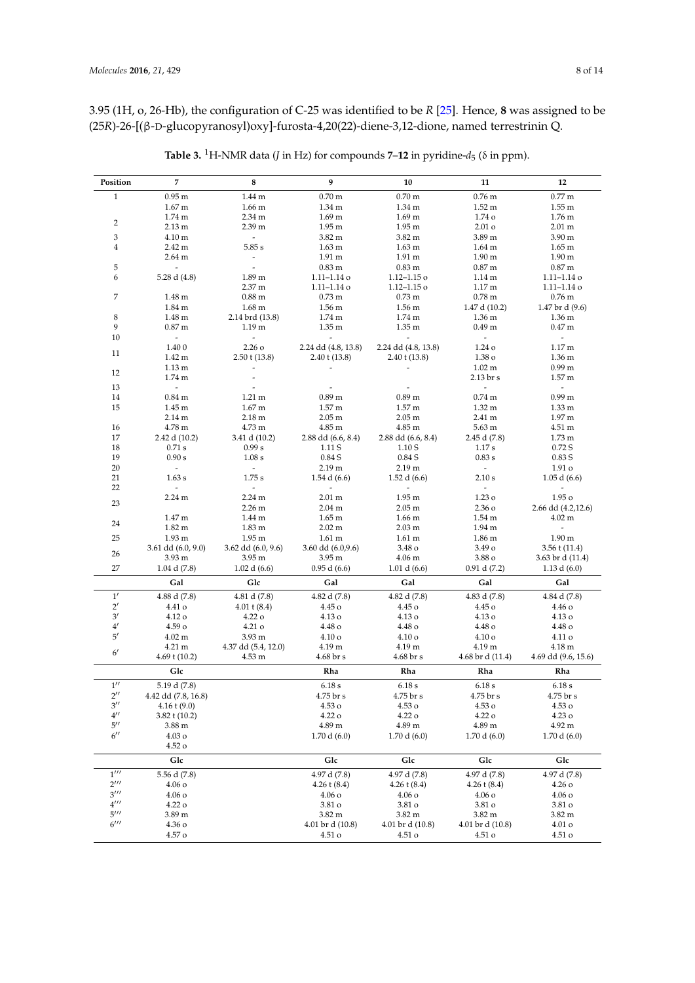3.95 (1H, o, 26-Hb), the configuration of C-25 was identified to be *R* [\[25\]](#page-13-8). Hence, **8** was assigned to be (25*R*)-26-[(β-D-glucopyranosyl)oxy]-furosta-4,20(22)-diene-3,12-dione, named terrestrinin Q.

| Position                 | 7                        | 8                        | 9                        | 10                          | 11                            | 12                       |
|--------------------------|--------------------------|--------------------------|--------------------------|-----------------------------|-------------------------------|--------------------------|
| $\mathbf{1}$             | $0.95 \text{ m}$         | 1.44 m                   | $0.70 \text{ m}$         | $0.70 \text{ m}$            | $0.76$ m                      | $0.77 \text{ m}$         |
|                          | 1.67 <sub>m</sub>        | 1.66 <sub>m</sub>        | 1.34 m                   | 1.34 m                      | $1.52 \text{ m}$              | 1.55 <sub>m</sub>        |
|                          | 1.74 m                   | 2.34 m                   | 1.69 <sub>m</sub>        | 1.69 <sub>m</sub>           | 1.74 o                        | 1.76 m                   |
| $\overline{c}$           | 2.13 m                   | 2.39 <sub>m</sub>        | $1.95 \text{ m}$         | $1.95 \text{ m}$            | 2.01 <sub>o</sub>             | $2.01 \text{ m}$         |
| 3                        | 4.10 m                   | $\sim$                   | 3.82 m                   | 3.82 m                      | 3.89 m                        | 3.90 <sub>m</sub>        |
| $\overline{4}$           | 2.42 m                   | 5.85s                    | 1.63 <sub>m</sub>        | 1.63 <sub>m</sub>           | 1.64 <sub>m</sub>             | $1.65 \text{ m}$         |
|                          | $2.64 \text{ m}$         |                          | $1.91 \text{ m}$         | $1.91 \text{ m}$            | 1.90 <sub>m</sub>             | 1.90 <sub>m</sub>        |
| 5                        | $\sim$                   |                          | $0.83 \text{ m}$         | $0.83 \text{ m}$            | $0.87 \text{ m}$              | $0.87 \text{ m}$         |
| 6                        | 5.28 d $(4.8)$           | $1.89~\mathrm{m}$        | $1.11 - 1.14$ o          | $1.12 - 1.15$ o             | 1.14 m                        | $1.11 - 1.14$ o          |
|                          |                          | 2.37 m                   | $1.11 - 1.14$ o          | $1.12 - 1.15$ o             | 1.17 m                        | $1.11 - 1.14$ o          |
| 7                        | 1.48 m                   | $0.88$ m                 | $0.73 \text{ m}$         | $0.73 \text{ m}$            | $0.78 \text{ m}$              | $0.76 \text{ m}$         |
|                          | 1.84 m                   | 1.68 <sub>m</sub>        | $1.56 \text{ m}$         | $1.56 \text{ m}$            | 1.47 d(10.2)                  | 1.47 br d (9.6)          |
| $\,8\,$                  | 1.48 m                   | 2.14 brd (13.8)          | 1.74 <sub>m</sub>        | $1.74 \text{ m}$            | 1.36 m                        | 1.36 m                   |
| 9                        | $0.87 \text{ m}$         | 1.19 <sub>m</sub>        | 1.35 <sub>m</sub>        | 1.35 m                      | 0.49 <sub>m</sub>             | 0.47 <sub>m</sub>        |
| 10                       | $\sim$                   | $\sim$                   | $\sim$                   | $\sim$                      | $\sim$                        | $\sim$                   |
|                          | 1.400                    | 2.26 <sub>o</sub>        | 2.24 dd (4.8, 13.8)      | 2.24 dd (4.8, 13.8)         | $1.24\,\mathrm{o}$            | $1.17 \text{ m}$         |
| 11                       | 1.42 m                   | $2.50$ t $(13.8)$        | $2.40$ t $(13.8)$        | 2.40 t (13.8)               | 1.38 o                        | 1.36 m                   |
|                          | 1.13 m                   |                          |                          |                             | $1.02 \text{ m}$              | 0.99 <sub>m</sub>        |
| 12                       | $1.74 \text{ m}$         |                          |                          |                             | 2.13 br s                     | $1.57 \text{ m}$         |
| 13                       | $\overline{\phantom{a}}$ |                          |                          |                             | $\sim$                        | $\sim$                   |
| 14                       | $0.84 \text{ m}$         | $1.21 \text{ m}$         | 0.89 <sub>m</sub>        | 0.89 <sub>m</sub>           | $0.74 \text{ m}$              | 0.99 <sub>m</sub>        |
| 15                       | 1.45 m                   | $1.67 \text{ m}$         | 1.57 <sub>m</sub>        | $1.57 \text{ m}$            | 1.32 m                        | 1.33 m                   |
|                          | 2.14 m                   | $2.18~\mathrm{m}$        | 2.05 m                   | $2.05 \text{ m}$            | 2.41 m                        | 1.97 <sub>m</sub>        |
| 16                       | 4.78 m                   | 4.73 m                   | 4.85 m                   | 4.85 m                      | $5.63 \text{ m}$              | 4.51 m                   |
| 17                       | 2.42 d $(10.2)$          | 3.41 d(10.2)             | 2.88 dd (6.6, 8.4)       | 2.88 dd (6.6, 8.4)          | 2.45 d (7.8)                  | 1.73 m                   |
| 18                       | 0.71 s                   | 0.99 s                   | 1.11 S                   | 1.10S                       | 1.17 s                        | $0.72$ S                 |
| 19                       | 0.90 s                   | 1.08 s                   | 0.84 S                   | 0.84 S                      | 0.83 s                        | 0.83S                    |
| 20                       | $\overline{\phantom{a}}$ | $\sim$                   | 2.19 m                   | 2.19 m                      | $\sim$                        | 1.91 <sub>o</sub>        |
| 21                       | 1.63 s                   | 1.75 s                   | 1.54 d $(6.6)$           | 1.52 d $(6.6)$              | 2.10 s                        | 1.05 d (6.6)             |
| 22                       | $\overline{\phantom{0}}$ | $\overline{\phantom{a}}$ | $\overline{\phantom{a}}$ | $\mathcal{L}_{\mathcal{A}}$ | $\sim$                        | $\sim$                   |
| 23                       | 2.24 <sub>m</sub>        | 2.24 m                   | $2.01 \text{ m}$         | 1.95 <sub>m</sub>           | 1.23 <sub>o</sub>             | 1.95 <sub>o</sub>        |
|                          |                          | 2.26 <sub>m</sub>        | $2.04 \text{ m}$         | 2.05 <sub>m</sub>           | $2.36\,\mathrm{o}$            | 2.66 dd (4.2,12.6)       |
| 24                       | 1.47 m                   | 1.44 m                   | $1.65 \text{ m}$         | $1.66 \text{ m}$            | $1.54 \text{ m}$              | $4.02 \text{ m}$         |
|                          | 1.82 m                   | 1.83 <sub>m</sub>        | $2.02 \text{ m}$         | 2.03 <sub>m</sub>           | 1.94 <sub>m</sub>             | $\overline{\phantom{a}}$ |
| 25                       | 1.93 <sub>m</sub>        | 1.95 <sub>m</sub>        | $1.61 \text{ m}$         | $1.61 \text{ m}$            | $1.86 \text{ m}$              | 1.90 <sub>m</sub>        |
| 26                       | 3.61 dd (6.0, 9.0)       | $3.62$ dd $(6.0, 9.6)$   | $3.60$ dd $(6.0,9.6)$    | 3.48 o                      | 3.49 <sub>o</sub>             | $3.56 \t(11.4)$          |
|                          | 3.93 <sub>m</sub>        | 3.95 <sub>m</sub>        | 3.95 <sub>m</sub>        | $4.06 \text{ m}$            | 3.88 o                        | 3.63 br d (11.4)         |
| 27                       | $1.04$ d $(7.8)$         | 1.02 d (6.6)             | 0.95 d (6.6)             | 1.01 d(6.6)                 | 0.91 d(7.2)                   | 1.13 d $(6.0)$           |
|                          | Gal                      | Glc                      | Gal                      | Gal                         | Gal                           | Gal                      |
| 1'                       | 4.88 d (7.8)             | 4.81 d (7.8)             | 4.82 d (7.8)             | 4.82 d (7.8)                | 4.83 d (7.8)                  | 4.84 d (7.8)             |
| $2^{\prime}$             | 4.41 o                   | $4.01 \text{ t} (8.4)$   | 4.45 o                   | 4.45 o                      | 4.45 o                        | 4.46 o                   |
| $3^{\prime}$             | 4.12 o                   | 4.22 o                   | 4.13 o                   | 4.13 o                      | 4.13 o                        | 4.13 o                   |
| $4^{\prime}$             | 4.59 <sub>o</sub>        | 4.21 o                   | 4.48 o                   | 4.48 o                      | $4.48\ \mathrm{o}$            | 4.48 o                   |
| $5^{\prime}$             | 4.02 m                   | 3.93 <sub>m</sub>        | 4.10 o                   | 4.10 o                      | 4.10 <sub>o</sub>             | 4.11 o                   |
| $6^{\prime}$             | 4.21 m                   | 4.37 dd (5.4, 12.0)      | 4.19 m                   | 4.19 m                      | 4.19 m                        | 4.18 m                   |
|                          | $4.69$ t $(10.2)$        | 4.53 m                   | 4.68 br s                | $4.68 \,\mathrm{br}$ s      | $4.68 \,\mathrm{br}$ d (11.4) | 4.69 dd (9.6, 15.6)      |
|                          | Glc                      |                          | Rha                      | Rha                         | Rha                           | Rha                      |
| $1^{\prime\prime}$       | 5.19 d (7.8)             |                          | 6.18 s                   | 6.18 s                      | $6.18\;{\rm s}$               | 6.18 s                   |
| $2^{\prime\prime}$       | 4.42 dd (7.8, 16.8)      |                          | 4.75 br s                | 4.75 br s                   | 4.75 br s                     | 4.75 br s                |
| $3^{\prime\prime}$       | $4.16$ t $(9.0)$         |                          | 4.53 о                   | 4.53 о                      | 4.53 o                        | 4.53 o                   |
| $4^{\prime\prime}$       | $3.82 \t1 (10.2)$        |                          | 4.22 o                   | 4.22 o                      | 4.22 <sub>o</sub>             | 4.23 o                   |
| $5^{\prime\prime}$       | 3.88 m                   |                          | 4.89 m                   | 4.89 m                      | 4.89 m                        | 4.92 m                   |
| $6^{\prime\prime}$       | $4.03 \text{ o}$         |                          | 1.70 d (6.0)             | 1.70 d(6.0)                 | 1.70 d(6.0)                   | 1.70 d(6.0)              |
|                          | 4.52 o                   |                          |                          |                             |                               |                          |
|                          | Glc                      |                          | Glc                      | Glc                         | Glc                           | Glc                      |
| $1^{\prime\prime\prime}$ | 5.56 d (7.8)             |                          | 4.97 d (7.8)             | 4.97 d (7.8)                | 4.97 d (7.8)                  | 4.97 d (7.8)             |
| $2^{\prime\prime\prime}$ | $4.06\,\mathrm{o}$       |                          | $4.26$ t $(8.4)$         | $4.26$ t $(8.4)$            | $4.26 \t(8.4)$                | $4.26\,\mathrm{o}$       |
| $3^{\prime\prime\prime}$ | 4.06 o                   |                          | 4.06 o                   | $4.06\,\mathrm{o}$          | 4.06 о                        | $4.06\,\mathrm{o}$       |
| $4^{\prime\prime\prime}$ | 4.22 o                   |                          | 3.81 o                   | 3.81 o                      | 3.81 o                        | 3.81 o                   |
| 5''''                    | 3.89 m                   |                          | $3.82 \text{ m}$         | 3.82 m                      | $3.82 \text{ m}$              | 3.82 m                   |
| $6^{\prime\prime\prime}$ | 4.36 o                   |                          | 4.01 br d (10.8)         | 4.01 br d (10.8)            | 4.01 br d (10.8)              | $4.01\,\mathrm{o}$       |
|                          | 4.57 o                   |                          | 4.51 o                   | 4.51 o                      | 4.51 o                        | 4.51 o                   |
|                          |                          |                          |                          |                             |                               |                          |

**Table 3.** <sup>1</sup>H-NMR data (*J* in Hz) for compounds **7**–**12** in pyridine-*d*<sup>5</sup> (δ in ppm).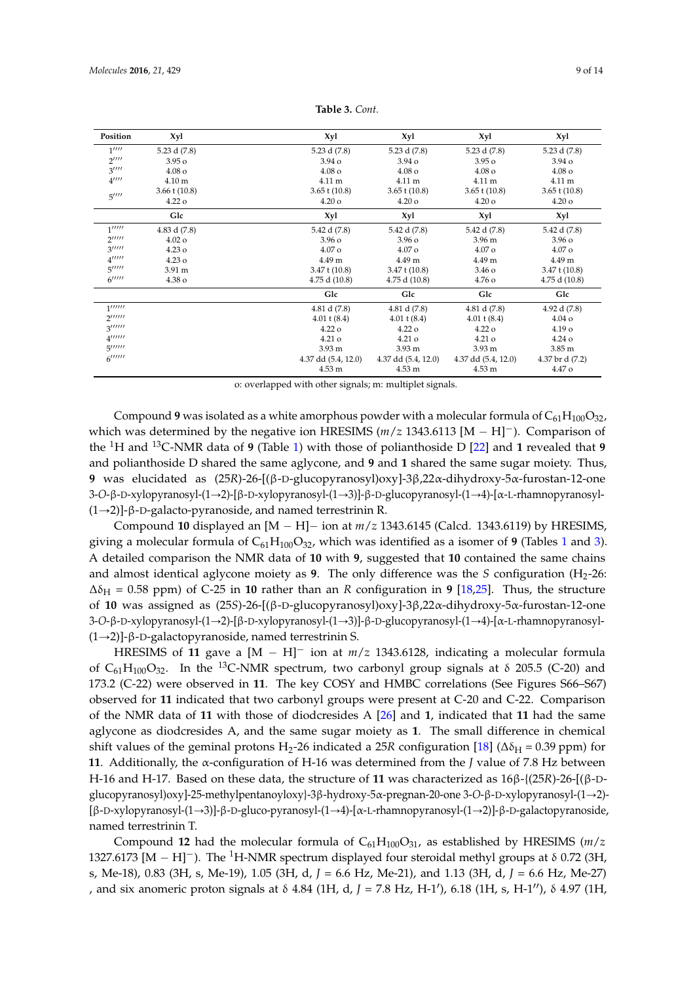<span id="page-8-0"></span>

| Position                                   | Xyl                | Xyl                 | Xyl                 | Xyl                    | Xyl                |
|--------------------------------------------|--------------------|---------------------|---------------------|------------------------|--------------------|
| 1'''                                       | 5.23 d (7.8)       | 5.23 d (7.8)        | 5.23 d (7.8)        | 5.23 d (7.8)           | 5.23 d (7.8)       |
| $2^{\prime\prime\prime\prime}$             | 3.95 <sub>o</sub>  | $3.94\,\mathrm{o}$  | $3.94\,\mathrm{o}$  | $3.95\,\mathrm{o}$     | $3.94\,\mathrm{o}$ |
| $3^{\prime\prime\prime\prime}$             | $4.08\,\mathrm{o}$ | $4.08\,\mathrm{o}$  | $4.08\,\mathrm{o}$  | $4.08\,\mathrm{o}$     | $4.08\,\mathrm{o}$ |
| $4^{\prime\prime\prime\prime}$             | 4.10 <sub>m</sub>  | $4.11 \text{ m}$    | 4.11 m              | 4.11 m                 | 4.11 m             |
|                                            | $3.66 \t(10.8)$    | $3.65$ t $(10.8)$   | $3.65 \t(10.8)$     | $3.65 \t(10.8)$        | $3.65 \t(10.8)$    |
| 5''''                                      | $4.22\,\mathrm{o}$ | $4.20\,\mathrm{o}$  | $4.20\,\mathrm{o}$  | $4.20\,\mathrm{o}$     | $4.20\,\mathrm{o}$ |
|                                            | Glc                | Xyl                 | Xyl                 | Xyl                    | Xyl                |
| 1'''''                                     | 4.83 d (7.8)       | 5.42 d (7.8)        | 5.42 d (7.8)        | 5.42 d (7.8)           | 5.42 d (7.8)       |
| $2^{\prime\prime\prime\prime\prime}$       | $4.02\,\mathrm{o}$ | $3.96\,\mathrm{o}$  | 3.96 <sub>o</sub>   | 3.96 m                 | $3.96\,\mathrm{o}$ |
| 3''''''                                    | $4.23\,\mathrm{o}$ | $4.07\,\mathrm{o}$  | $4.07\,\mathrm{o}$  | $4.07\,\mathrm{o}$     | $4.07\,\mathrm{o}$ |
| $4^{\prime\prime\prime\prime\prime}$       | $4.23\,\mathrm{o}$ | 4.49 m              | 4.49 m              | 4.49 m                 | 4.49 m             |
| 5''''''                                    | 3.91 m             | $3.47$ t $(10.8)$   | $3.47 \t(10.8)$     | $3.46\,\mathrm{o}$     | $3.47 \t(10.8)$    |
| $6$ <sup><math>11111</math></sup>          | 4.38 o             | 4.75 d (10.8)       | 4.75 d (10.8)       | 4.76 o                 | 4.75 d (10.8)      |
|                                            |                    | Glc                 | Glc                 | Glc                    | Glc                |
| 1                                          |                    | 4.81 d (7.8)        | 4.81 d (7.8)        | 4.81 d (7.8)           | 4.92 d (7.8)       |
| $2^{\prime\prime\prime\prime\prime\prime}$ |                    | $4.01 \pm (8.4)$    | $4.01 \pm (8.4)$    | $4.01 \text{ t} (8.4)$ | $4.04\,\mathrm{o}$ |
| 3'''''                                     |                    | $4.22\,\mathrm{o}$  | $4.22\,\mathrm{o}$  | $4.22\,\mathrm{o}$     | 4.19 <sub>o</sub>  |
| $4$ ''''''                                 |                    | $4.21\,\mathrm{o}$  | $4.21\,\mathrm{o}$  | $4.21\,\mathrm{o}$     | $4.24\,\mathrm{o}$ |
| 5'''''                                     |                    | 3.93 <sub>m</sub>   | 3.93 <sub>m</sub>   | 3.93 <sub>m</sub>      | 3.85 <sub>m</sub>  |
| $6$ <sup><math>111111</math></sup>         |                    | 4.37 dd (5.4, 12.0) | 4.37 dd (5.4, 12.0) | 4.37 dd (5.4, 12.0)    | 4.37 br d (7.2)    |
|                                            |                    | 4.53 m              | 4.53 m              | 4.53 m                 | 4.47 o             |

**Table 3.** *Cont.*

o: overlapped with other signals; m: multiplet signals.

Compound 9 was isolated as a white amorphous powder with a molecular formula of  $C_{61}H_{100}O_{32}$ , which was determined by the negative ion HRESIMS  $(m/z 1343.6113 \,[M - H]^{-})$ . Comparison of the <sup>1</sup>H and <sup>13</sup>C-NMR data of **9** (Table [1\)](#page-4-0) with those of polianthoside D [\[22\]](#page-13-5) and **1** revealed that **9** and polianthoside D shared the same aglycone, and **9** and **1** shared the same sugar moiety. Thus, **9** was elucidated as (25*R*)-26-[(β-D-glucopyranosyl)oxy]-3β,22α-dihydroxy-5α-furostan-12-one 3-*O*-β-D-xylopyranosyl-(1→2)-[β-D-xylopyranosyl-(1→3)]-β-D-glucopyranosyl-(1→4)-[α-L-rhamnopyranosyl- $(1\rightarrow 2)$ ]-β-D-galacto-pyranoside, and named terrestrinin R.

Compound 10 displayed an  $[M - H]$  ion at  $m/z$  1343.6145 (Calcd. 1343.6119) by HRESIMS, giving a molecular formula of  $C_{61}H_{100}O_{32}$  $C_{61}H_{100}O_{32}$  $C_{61}H_{100}O_{32}$ , which was identified as a isomer of **9** (Tables 1 and [3\)](#page-8-0). A detailed comparison the NMR data of **10** with **9**, suggested that **10** contained the same chains and almost identical aglycone moiety as  $9$ . The only difference was the *S* configuration  $(H_2-26)$ :  $\Delta\delta_H$  = 0.58 ppm) of C-25 in 10 rather than an *R* configuration in 9 [\[18](#page-13-2)[,25\]](#page-13-8). Thus, the structure of **10** was assigned as (25*S*)-26-[(β-D-glucopyranosyl)oxy]-3β,22α-dihydroxy-5α-furostan-12-one 3-*O*-β-D-xylopyranosyl-(1→2)-[β-D-xylopyranosyl-(1→3)]-β-D-glucopyranosyl-(1→4)-[α-L-rhamnopyranosyl- $(1\rightarrow 2)$ ]-β-D-galactopyranoside, named terrestrinin S.

HRESIMS of 11 gave a  $[M - H]$ <sup>-</sup> ion at  $m/z$  1343.6128, indicating a molecular formula of  $C_{61}H_{100}O_{32}$ . In the <sup>13</sup>C-NMR spectrum, two carbonyl group signals at  $\delta$  205.5 (C-20) and 173.2 (C-22) were observed in **11**. The key COSY and HMBC correlations (See Figures S66–S67) observed for **11** indicated that two carbonyl groups were present at C-20 and C-22. Comparison of the NMR data of **11** with those of diodcresides A [\[26\]](#page-13-9) and **1**, indicated that **11** had the same aglycone as diodcresides A, and the same sugar moiety as **1**. The small difference in chemical shift values of the geminal protons H<sub>2</sub>-26 indicated a 25*R* configuration [\[18\]](#page-13-2) ( $\Delta \delta_H = 0.39$  ppm) for **11**. Additionally, the α-configuration of H-16 was determined from the *J* value of 7.8 Hz between H-16 and H-17. Based on these data, the structure of **11** was characterized as 16β-{(25*R*)-26-[(β-Dglucopyranosyl)oxy]-25-methylpentanoyloxy}-3β-hydroxy*-*5α-pregnan-20-one 3-*O*-β-D-xylopyranosyl-(1Ñ2)- [β-D-xylopyranosyl-(1→3)]-β-D-gluco-pyranosyl-(1→4)-[α-L-rhamnopyranosyl-(1→2)]-β-D-galactopyranoside, named terrestrinin T.

Compound **12** had the molecular formula of  $C_{61}H_{100}O_{31}$ , as established by HRESIMS ( $m/z$ 1327.6173  $[M - H]$ <sup>-</sup>). The <sup>1</sup>H-NMR spectrum displayed four steroidal methyl groups at  $\delta$  0.72 (3H, s, Me-18), 0.83 (3H, s, Me-19), 1.05 (3H, d, *J* = 6.6 Hz, Me-21), and 1.13 (3H, d, *J* = 6.6 Hz, Me-27) , and six anomeric proton signals at δ 4.84 (1H, d, *J* = 7.8 Hz, H-1'), 6.18 (1H, s, H-1''), δ 4.97 (1H,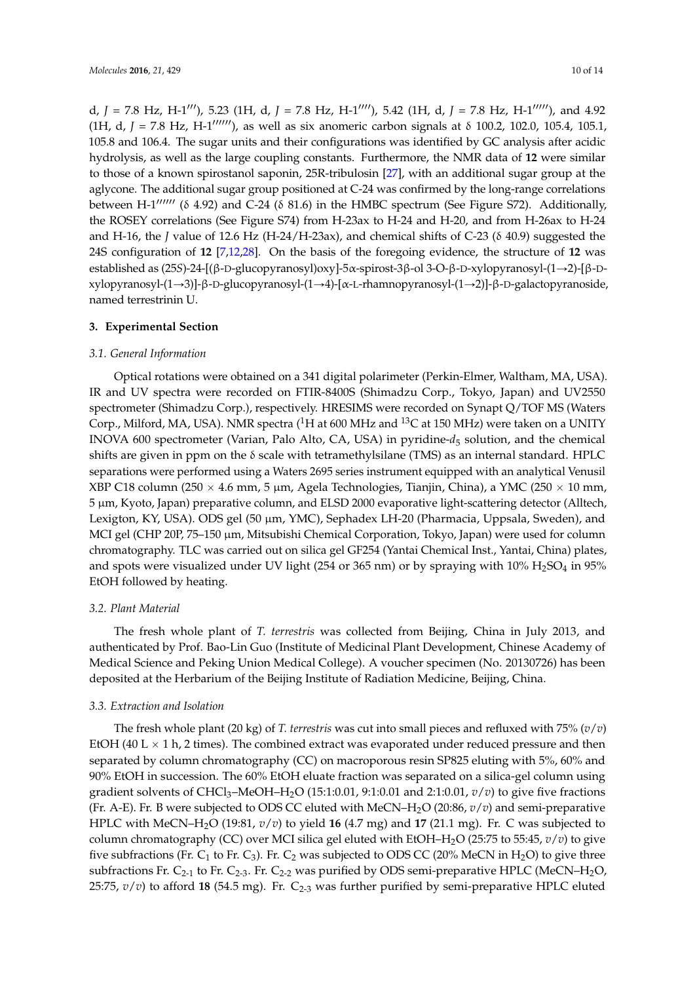d, *J* = 7.8 Hz, H-1<sup>111</sup>), 5.23 (1H, d, *J* = 7.8 Hz, H-1<sup>1111</sup>), 5.42 (1H, d, *J* = 7.8 Hz, H-1<sup>11111</sup>), and 4.92 (1H, d,  $J = 7.8$  Hz, H-1<sup> $1111111$ </sup>), as well as six anomeric carbon signals at  $\delta$  100.2, 102.0, 105.4, 105.1, 105.8 and 106.4. The sugar units and their configurations was identified by GC analysis after acidic hydrolysis, as well as the large coupling constants. Furthermore, the NMR data of **12** were similar to those of a known spirostanol saponin, 25R-tribulosin [\[27\]](#page-13-10), with an additional sugar group at the aglycone. The additional sugar group positioned at C-24 was confirmed by the long-range correlations between H-1 $^{\prime\prime\prime\prime\prime\prime\prime}$  (δ 4.92) and C-24 (δ 81.6) in the HMBC spectrum (See Figure S72). Additionally, the ROSEY correlations (See Figure S74) from H-23ax to H-24 and H-20, and from H-26ax to H-24 and H-16, the *J* value of 12.6 Hz (H-24/H-23ax), and chemical shifts of C-23 (δ 40.9) suggested the 24S configuration of **12** [\[7](#page-12-10)[,12,](#page-12-5)[28\]](#page-13-11). On the basis of the foregoing evidence, the structure of **12** was established as (25*S*)-24-[(β-D-glucopyranosyl)oxy]-5α-spirost-3β-ol 3-O-β-D-xylopyranosyl-(1→2)-[β-Dxylopyranosyl-(1→3)]-β-D-glucopyranosyl-(1→4)-[α-L-rhamnopyranosyl-(1→2)]-β-D-galactopyranoside, named terrestrinin U.

## **3. Experimental Section**

#### *3.1. General Information*

Optical rotations were obtained on a 341 digital polarimeter (Perkin-Elmer, Waltham, MA, USA). IR and UV spectra were recorded on FTIR-8400S (Shimadzu Corp., Tokyo, Japan) and UV2550 spectrometer (Shimadzu Corp.), respectively. HRESIMS were recorded on Synapt Q/TOF MS (Waters Corp., Milford, MA, USA). NMR spectra (<sup>1</sup>H at 600 MHz and <sup>13</sup>C at 150 MHz) were taken on a UNITY INOVA 600 spectrometer (Varian, Palo Alto, CA, USA) in pyridine-*d*<sup>5</sup> solution, and the chemical shifts are given in ppm on the δ scale with tetramethylsilane (TMS) as an internal standard. HPLC separations were performed using a Waters 2695 series instrument equipped with an analytical Venusil XBP C18 column (250  $\times$  4.6 mm, 5 µm, Agela Technologies, Tianjin, China), a YMC (250  $\times$  10 mm, 5 µm, Kyoto, Japan) preparative column, and ELSD 2000 evaporative light-scattering detector (Alltech, Lexigton, KY, USA). ODS gel (50 µm, YMC), Sephadex LH-20 (Pharmacia, Uppsala, Sweden), and MCI gel (CHP 20P, 75-150 µm, Mitsubishi Chemical Corporation, Tokyo, Japan) were used for column chromatography. TLC was carried out on silica gel GF254 (Yantai Chemical Inst., Yantai, China) plates, and spots were visualized under UV light (254 or 365 nm) or by spraying with  $10\%$  H<sub>2</sub>SO<sub>4</sub> in 95% EtOH followed by heating.

#### *3.2. Plant Material*

The fresh whole plant of *T. terrestris* was collected from Beijing, China in July 2013, and authenticated by Prof. Bao-Lin Guo (Institute of Medicinal Plant Development, Chinese Academy of Medical Science and Peking Union Medical College). A voucher specimen (No. 20130726) has been deposited at the Herbarium of the Beijing Institute of Radiation Medicine, Beijing, China.

#### *3.3. Extraction and Isolation*

The fresh whole plant (20 kg) of *T. terrestris* was cut into small pieces and refluxed with 75% (*v*/*v*) EtOH (40 L  $\times$  1 h, 2 times). The combined extract was evaporated under reduced pressure and then separated by column chromatography (CC) on macroporous resin SP825 eluting with 5%, 60% and 90% EtOH in succession. The 60% EtOH eluate fraction was separated on a silica-gel column using gradient solvents of CHCl<sub>3</sub>–MeOH–H<sub>2</sub>O (15:1:0.01, 9:1:0.01 and 2:1:0.01,  $v/v$ ) to give five fractions (Fr. A-E). Fr. B were subjected to ODS CC eluted with MeCN–H2O (20:86, *v*/*v*) and semi-preparative HPLC with MeCN–H2O (19:81, *v*/*v*) to yield **16** (4.7 mg) and **17** (21.1 mg). Fr. C was subjected to column chromatography (CC) over MCI silica gel eluted with EtOH–H2O (25:75 to 55:45, *v*/*v*) to give five subfractions (Fr. C<sub>1</sub> to Fr. C<sub>3</sub>). Fr. C<sub>2</sub> was subjected to ODS CC (20% MeCN in H<sub>2</sub>O) to give three subfractions Fr.  $C_{2-1}$  to Fr.  $C_{2-3}$ . Fr.  $C_{2-2}$  was purified by ODS semi-preparative HPLC (MeCN–H<sub>2</sub>O, 25:75,  $v/v$ ) to afford 18 (54.5 mg). Fr.  $C_{2-3}$  was further purified by semi-preparative HPLC eluted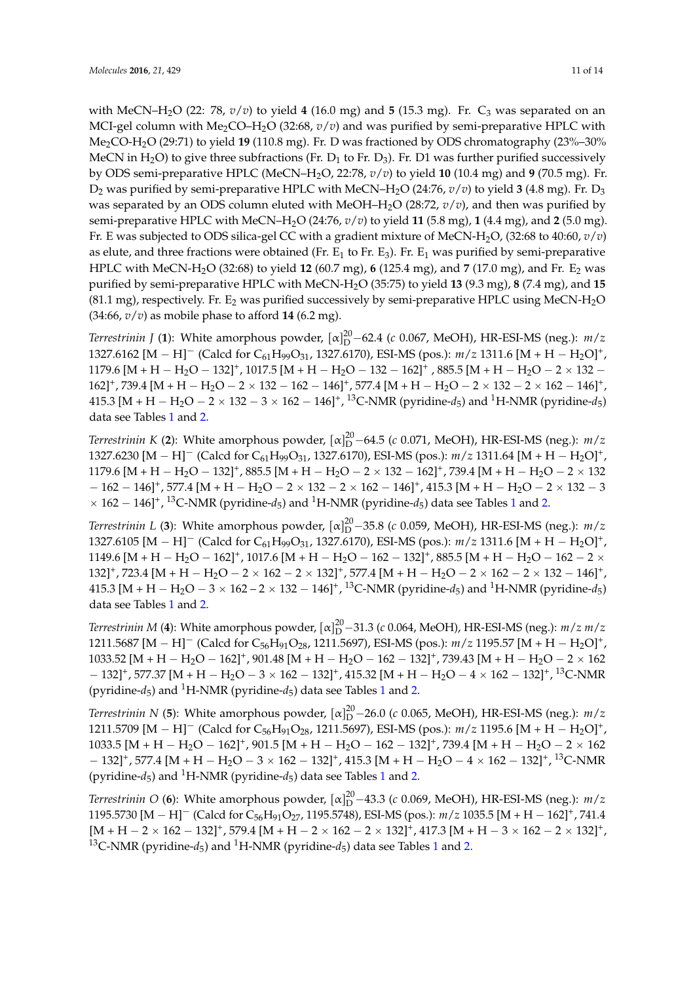with MeCN–H<sub>2</sub>O (22: 78,  $v/v$ ) to yield 4 (16.0 mg) and 5 (15.3 mg). Fr. C<sub>3</sub> was separated on an MCI-gel column with Me<sub>2</sub>CO–H<sub>2</sub>O (32:68,  $v/v$ ) and was purified by semi-preparative HPLC with Me2CO-H2O (29:71) to yield **19** (110.8 mg). Fr. D was fractioned by ODS chromatography (23%–30% MeCN in H<sub>2</sub>O) to give three subfractions (Fr. D<sub>1</sub> to Fr. D<sub>3</sub>). Fr. D1 was further purified successively by ODS semi-preparative HPLC (MeCN–H2O, 22:78, *v*/*v*) to yield **10** (10.4 mg) and **9** (70.5 mg). Fr.  $D_2$  was purified by semi-preparative HPLC with MeCN–H<sub>2</sub>O (24:76,  $v/v$ ) to yield 3 (4.8 mg). Fr.  $D_3$ was separated by an ODS column eluted with MeOH–H2O (28:72, *v*/*v*), and then was purified by semi-preparative HPLC with MeCN–H2O (24:76, *v*/*v*) to yield **11** (5.8 mg), **1** (4.4 mg), and **2** (5.0 mg). Fr. E was subjected to ODS silica-gel CC with a gradient mixture of MeCN-H2O, (32:68 to 40:60, *v*/*v*) as elute, and three fractions were obtained (Fr.  $E_1$  to Fr.  $E_3$ ). Fr.  $E_1$  was purified by semi-preparative HPLC with MeCN-H2O (32:68) to yield **12** (60.7 mg), **6** (125.4 mg), and **7** (17.0 mg), and Fr. E<sup>2</sup> was purified by semi-preparative HPLC with MeCN-H2O (35:75) to yield **13** (9.3 mg), **8** (7.4 mg), and **15** (81.1 mg), respectively. Fr.  $E_2$  was purified successively by semi-preparative HPLC using MeCN-H<sub>2</sub>O (34:66, *v*/*v*) as mobile phase to afford **14** (6.2 mg).

*Terrestrinin* J (1): White amorphous powder,  $\alpha_{\text{D}}^{20}$  –62.4 (*c* 0.067, MeOH), HR-ESI-MS (neg.): *m*/*z* 1327.6162 [M – H]<sup>-</sup> (Calcd for C<sub>61</sub>H<sub>99</sub>O<sub>31</sub>, 1327.6170), ESI-MS (pos.):  $m/z$  1311.6 [M + H – H<sub>2</sub>O]<sup>+</sup>, 1179.6 [M + H  $-$  H<sub>2</sub>O  $-$  132]<sup>+</sup>, 1017.5 [M + H  $-$  H<sub>2</sub>O  $-$  132  $-$  162]<sup>+</sup>, 885.5 [M + H  $-$  H<sub>2</sub>O  $-$  2  $\times$  132  $162]^+$ , 739.4 [M + H - H<sub>2</sub>O - 2  $\times$  132 - 162 - 146]<sup>+</sup>, 577.4 [M + H - H<sub>2</sub>O - 2  $\times$  132 - 2  $\times$  162 - 146]<sup>+</sup>,  $415.3$  [M + H  $-$  H<sub>2</sub>O  $-$  2  $\times$  132  $-$  3  $\times$  162  $-$  146]<sup>+</sup>, <sup>13</sup>C-NMR (pyridine- $d_5$ ) and <sup>1</sup>H-NMR (pyridine- $d_5$ ) data see Tables [1](#page-4-0) and [2.](#page-5-0)

*Terrestrinin K* (2): White amorphous powder,  $\lbrack \alpha \rbrack_{D}^{20}$  –64.5 (*c* 0.071, MeOH), HR-ESI-MS (neg.):  $m/z$ 1327.6230 [M – H]<sup>-</sup> (Calcd for  $C_{61}H_{99}O_{31}$ , 1327.6170), ESI-MS (pos.):  $m/z$  1311.64 [M + H – H<sub>2</sub>O]<sup>+</sup>, 1179.6 [M + H  $-$  H<sub>2</sub>O  $-$  132]<sup>+</sup>, 885.5 [M + H  $-$  H<sub>2</sub>O  $-$  2  $\times$  132  $-$  162]<sup>+</sup>, 739.4 [M + H  $-$  H<sub>2</sub>O  $-$  2  $\times$  132  $- \ 162 - 146]^+$ , 577.4  $\rm [M + H - H_2O - 2 \times 132 - 2 \times 162 - 146]^+$ , 415.3  $\rm [M + H - H_2O - 2 \times 132 - 3$  $\times$  [1](#page-4-0)62 – 146]<sup>+</sup>, <sup>13</sup>C-NMR (pyridine- $d_5$ ) and <sup>1</sup>H-NMR (pyridine- $d_5$ ) data see Tables 1 and [2.](#page-5-0)

*Terrestrinin L* (3): White amorphous powder,  $[\alpha]_D^{20}$  –35.8 (*c* 0.059, MeOH), HR-ESI-MS (neg.): *m*/*z* 1327.6105 [M – H]<sup>-</sup> (Calcd for C<sub>61</sub>H<sub>99</sub>O<sub>31</sub>, 1327.6170), ESI-MS (pos.):  $m/z$  1311.6 [M + H – H<sub>2</sub>O]<sup>+</sup>, 1149.6 [M + H  $-$  H<sub>2</sub>O  $-$  162]<sup>+</sup>, 1017.6 [M + H  $-$  H<sub>2</sub>O  $-$  162  $-$  132]<sup>+</sup>, 885.5 [M + H  $-$  H<sub>2</sub>O  $-$  162  $-$  2  $\times$  $132]^+$ , 723.4 [M + H - H<sub>2</sub>O - 2  $\times$  162 - 2  $\times$  132]<sup>+</sup>, 577.4 [M + H - H<sub>2</sub>O - 2  $\times$  162 - 2  $\times$  132 - 146]<sup>+</sup>, 415.3 [M + H  $-$  H<sub>2</sub>O  $-$  3  $\times$  162  $-$  2  $\times$  132  $-$  146]<sup>+</sup>, <sup>13</sup>C-NMR (pyridine- $d_5$ ) and <sup>1</sup>H-NMR (pyridine- $d_5$ ) data see Tables [1](#page-4-0) and [2.](#page-5-0)

*Terrestrinin M* (4): White amorphous powder, [α] $^{20}_{\rm D}$ –31.3 (*c* 0.064, MeOH), HR-ESI-MS (neg.): *m/z m/z* 1211.5687 [M – H]<sup>-</sup> (Calcd for C<sub>56</sub>H<sub>91</sub>O<sub>28</sub>, 1211.5697), ESI-MS (pos.):  $m/z$  1195.57 [M + H – H<sub>2</sub>O]<sup>+</sup>, 1033.52 [M + H - H<sub>2</sub>O - 162]<sup>+</sup>, 901.48 [M + H - H<sub>2</sub>O - 162 - 132]<sup>+</sup>, 739.43 [M + H - H<sub>2</sub>O - 2 × 162  $-132$ ]<sup>+</sup>, 577.37 [M + H – H<sub>2</sub>O – 3 × 162 – 132]<sup>+</sup>, 415.32 [M + H – H<sub>2</sub>O – 4 × 162 – 132]<sup>+</sup>, <sup>13</sup>C-NMR (pyridine- $d_5$ ) and <sup>[1](#page-4-0)</sup>H-NMR (pyridine- $d_5$ ) data see Tables 1 and [2.](#page-5-0)

*Terrestrinin* N (5): White amorphous powder,  $\alpha \vert_{D}^{20}$  –26.0 (*c* 0.065, MeOH), HR-ESI-MS (neg.): *m*/*z* 1211.5709 [M – H]<sup>-</sup> (Calcd for C<sub>56</sub>H<sub>91</sub>O<sub>28</sub>, 1211.5697), ESI-MS (pos.):  $m/z$  1195.6 [M + H – H<sub>2</sub>O]<sup>+</sup>, 1033.5 [M + H - H<sub>2</sub>O - 162]<sup>+</sup>, 901.5 [M + H - H<sub>2</sub>O - 162 - 132]<sup>+</sup>, 739.4 [M + H - H<sub>2</sub>O - 2 × 162  $-132$ ]<sup>+</sup>, 577.4 [M + H – H<sub>2</sub>O – 3 × 162 – 132]<sup>+</sup>, 415.3 [M + H – H<sub>2</sub>O – 4 × 162 – 132]<sup>+</sup>, <sup>13</sup>C-NMR (pyridine- $d_5$ ) and <sup>[1](#page-4-0)</sup>H-NMR (pyridine- $d_5$ ) data see Tables 1 and [2.](#page-5-0)

*Terrestrinin* O (6): White amorphous powder,  $[\alpha]_D^{20}$ –43.3 (*c* 0.069, MeOH), HR-ESI-MS (neg.): *m*/*z* 1195.5730  $[M - H]^-$  (Calcd for C<sub>56</sub>H<sub>91</sub>O<sub>27</sub>, 1195.5748), ESI-MS (pos.):  $m/z$  1035.5  $[M + H - 162]^+$ , 741.4  $[{\rm M} + {\rm H} - 2 \times 162 - 132]^+$ , 579.4  $[{\rm M} + {\rm H} - 2 \times 162 - 2 \times 132]^+$ , 417.3  $[{\rm M} + {\rm H} - 3 \times 162 - 2 \times 132]^+$ , <sup>[1](#page-4-0)3</sup>C-NMR (pyridine- $d_5$ ) and <sup>1</sup>H-NMR (pyridine- $d_5$ ) data see Tables 1 and [2.](#page-5-0)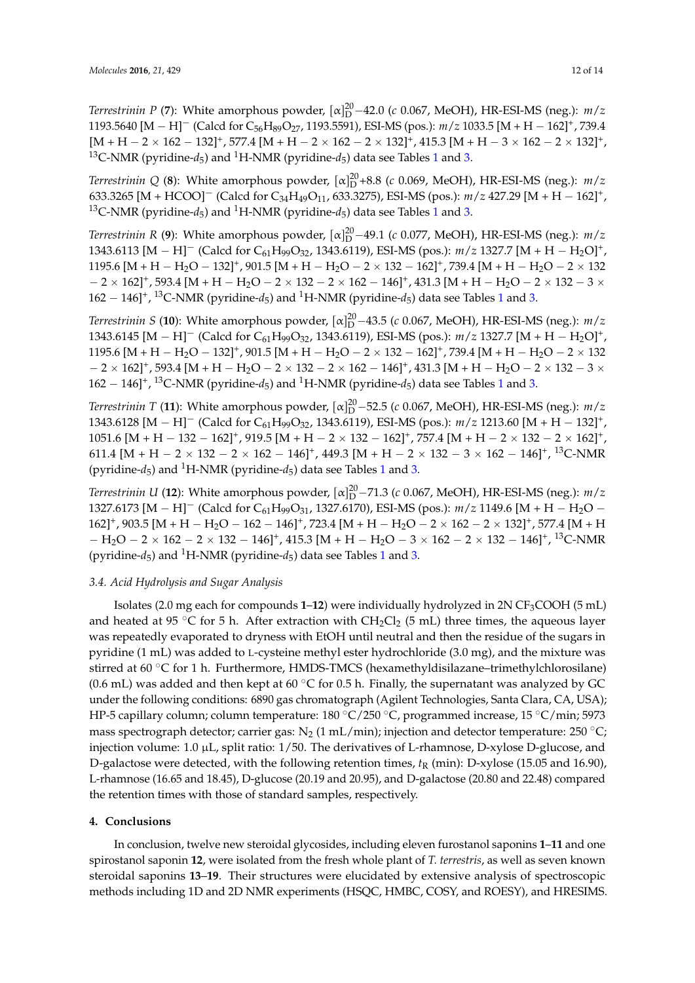*Terrestrinin P* (7): White amorphous powder,  $[\alpha]_D^{20}$  –42.0 (*c* 0.067, MeOH), HR-ESI-MS (neg.): *m*/*z* 1193.5640  $[M - H]^-$  (Calcd for C<sub>56</sub>H<sub>89</sub>O<sub>27</sub>, 1193.5591), ESI-MS (pos.):  $m/z$  1033.5  $[M + H - 162]^+$ , 739.4  ${\rm [M+H-2\times 162-132]^+}$ , 577.4  ${\rm [M+H-2\times 162-2\times 132]^+}$ , 415.3  ${\rm [M+H-3\times 162-2\times 132]^+}$ , <sup>[1](#page-4-0)3</sup>C-NMR (pyridine- $d_5$ ) and <sup>1</sup>H-NMR (pyridine- $d_5$ ) data see Tables 1 and [3.](#page-8-0)

*Terrestrinin* Q (8): White amorphous powder,  $\alpha_{D}^{20}$ +8.8 (*c* 0.069, MeOH), HR-ESI-MS (neg.): *m*/*z* 633.3265 [M + HCOO]<sup>-</sup> (Calcd for C<sub>34</sub>H<sub>49</sub>O<sub>11</sub>, 633.3275), ESI-MS (pos.):  $m/z$  427.29 [M + H - 162]<sup>+</sup>, <sup>[1](#page-4-0)3</sup>C-NMR (pyridine- $d_5$ ) and <sup>1</sup>H-NMR (pyridine- $d_5$ ) data see Tables 1 and [3.](#page-8-0)

*Terrestrinin R* (9): White amorphous powder,  $\lbrack \alpha \rbrack_{D}^{20} - 49.1$  (*c* 0.077, MeOH), HR-ESI-MS (neg.):  $m/z$ 1343.6113 [M – H]<sup>-</sup> (Calcd for C<sub>61</sub>H<sub>99</sub>O<sub>32</sub>, 1343.6119), ESI-MS (pos.):  $m/z$  1327.7 [M + H – H<sub>2</sub>O]<sup>+</sup>, 1195.6 [M + H - H<sub>2</sub>O - 132]<sup>+</sup>, 901.5 [M + H - H<sub>2</sub>O - 2 × 132 - 162]<sup>+</sup>, 739.4 [M + H - H<sub>2</sub>O - 2 × 132  $-$  2  $\times$  162]<sup>+</sup>, 593.4 [M + H  $-$  H<sub>2</sub>O  $-$  2  $\times$  132  $-$  2  $\times$  162  $-$  146]<sup>+</sup>, 431.3 [M + H  $-$  H<sub>2</sub>O  $-$  2  $\times$  132  $-$  3  $\times$  $162 - 146$  $162 - 146$ <sup> $\uparrow$ </sup>, <sup>13</sup>C-NMR (pyridine- $d_5$ ) and <sup>1</sup>H-NMR (pyridine- $d_5$ ) data see Tables 1 and [3.](#page-8-0)

*Terrestrinin S* (10): White amorphous powder,  $\alpha_{\text{D}}^{20}$  –43.5 (*c* 0.067, MeOH), HR-ESI-MS (neg.): *m*/*z* 1343.6145 [M – H]<sup>-</sup> (Calcd for C<sub>61</sub>H<sub>99</sub>O<sub>32</sub>, 1343.6119), ESI-MS (pos.):  $m/z$  1327.7 [M + H – H<sub>2</sub>O]<sup>+</sup>, 1195.6 [M + H - H<sub>2</sub>O - 132]<sup>+</sup>, 901.5 [M + H - H<sub>2</sub>O - 2 × 132 - 162]<sup>+</sup>, 739.4 [M + H - H<sub>2</sub>O - 2 × 132  $-$  2  $\times$  162]<sup>+</sup>, 593.4 [M + H  $-$  H<sub>2</sub>O  $-$  2  $\times$  132  $-$  2  $\times$  162  $-$  146]<sup>+</sup>, 431.3 [M + H  $-$  H<sub>2</sub>O  $-$  2  $\times$  132  $-$  3  $\times$  $162 - 146$  $162 - 146$ ]<sup>+</sup>, <sup>13</sup>C-NMR (pyridine- $d_5$ ) and <sup>1</sup>H-NMR (pyridine- $d_5$ ) data see Tables 1 and [3.](#page-8-0)

*Terrestrinin T* (11): White amorphous powder,  $\alpha_{\text{ID}}^{20}$  –52.5 (*c* 0.067, MeOH), HR-ESI-MS (neg.): *m*/*z* 1343.6128 [M – H]<sup>-</sup> (Calcd for C<sub>61</sub>H<sub>99</sub>O<sub>32</sub>, 1343.6119), ESI-MS (pos.):  $m/z$  1213.60 [M + H – 132]<sup>+</sup>,  $1051.6 \text{ [M + H - 132 - 162]}^+$ ,  $919.5 \text{ [M + H - 2 \times 132 - 162]}^+$ ,  $757.4 \text{ [M + H - 2 \times 132 - 2 \times 162]}^+$ , 611.4 [M + H  $-$  2  $\times$  132  $-$  2  $\times$  162  $-$  146]<sup>+</sup>, 449.3 [M + H  $-$  2  $\times$  132  $-$  3  $\times$  162  $-$  146]<sup>+</sup>, <sup>13</sup>C-NMR (pyridine- $d_5$ ) and <sup>[1](#page-4-0)</sup>H-NMR (pyridine- $d_5$ ) data see Tables 1 and [3.](#page-8-0)

*Terrestrinin U* (**12**): White amorphous powder,  $\alpha_{\text{ID}}^{20}$  –71.3 (*c* 0.067, MeOH), HR-ESI-MS (neg.): *m*/*z* 1327.6173  $[M - H]^-$  (Calcd for C<sub>61</sub>H<sub>99</sub>O<sub>31</sub>, 1327.6170), ESI-MS (pos.):  $m/z$  1149.6  $[M + H - H_2O 162]^+$ , 903.5 [M + H - H<sub>2</sub>O - 162 - 146]<sup>+</sup>, 723.4 [M + H - H<sub>2</sub>O - 2 × 162 - 2 × 132]<sup>+</sup>, 577.4 [M + H  $- H_2O - 2 \times 162 - 2 \times 132 - 146$ ]<sup>+</sup>, 415.3 [M + H – H<sub>2</sub>O – 3  $\times$  162 – 2  $\times$  132 – 146]<sup>+</sup>, <sup>13</sup>C-NMR (pyridine- $d_5$ ) and <sup>[1](#page-4-0)</sup>H-NMR (pyridine- $d_5$ ) data see Tables 1 and [3.](#page-8-0)

## *3.4. Acid Hydrolysis and Sugar Analysis*

Isolates (2.0 mg each for compounds **1**–**12**) were individually hydrolyzed in 2N CF3COOH (5 mL) and heated at 95 °C for 5 h. After extraction with CH<sub>2</sub>Cl<sub>2</sub> (5 mL) three times, the aqueous layer was repeatedly evaporated to dryness with EtOH until neutral and then the residue of the sugars in pyridine (1 mL) was added to L-cysteine methyl ester hydrochloride (3.0 mg), and the mixture was stirred at 60 °C for 1 h. Furthermore, HMDS-TMCS (hexamethyldisilazane–trimethylchlorosilane) (0.6 mL) was added and then kept at 60  $^{\circ}$ C for 0.5 h. Finally, the supernatant was analyzed by GC under the following conditions: 6890 gas chromatograph (Agilent Technologies, Santa Clara, CA, USA); HP-5 capillary column; column temperature: 180 °C/250 °C, programmed increase, 15 °C/min; 5973 mass spectrograph detector; carrier gas:  $N_2$  (1 mL/min); injection and detector temperature: 250 °C; injection volume:  $1.0 \mu L$ , split ratio:  $1/50$ . The derivatives of L-rhamnose, D-xylose D-glucose, and D-galactose were detected, with the following retention times,  $t_R$  (min): D-xylose (15.05 and 16.90), L-rhamnose (16.65 and 18.45), D-glucose (20.19 and 20.95), and D-galactose (20.80 and 22.48) compared the retention times with those of standard samples, respectively.

### **4. Conclusions**

In conclusion, twelve new steroidal glycosides, including eleven furostanol saponins **1**–**11** and one spirostanol saponin **12**, were isolated from the fresh whole plant of *T. terrestris*, as well as seven known steroidal saponins **13**–**19**. Their structures were elucidated by extensive analysis of spectroscopic methods including 1D and 2D NMR experiments (HSQC, HMBC, COSY, and ROESY), and HRESIMS.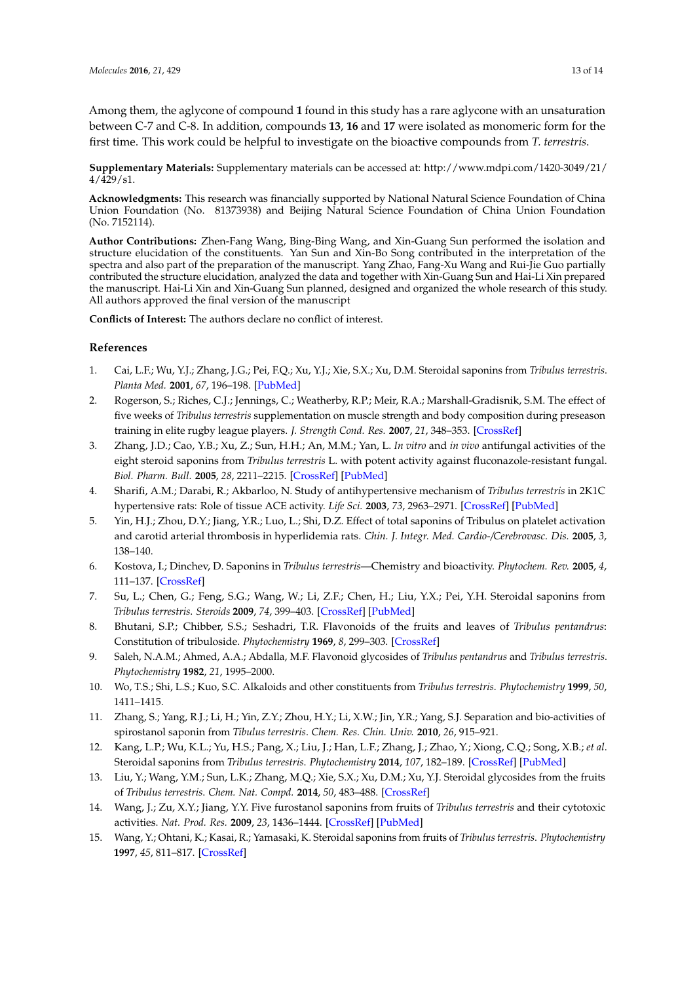Among them, the aglycone of compound **1** found in this study has a rare aglycone with an unsaturation between C-7 and C-8. In addition, compounds **13**, **16** and **17** were isolated as monomeric form for the first time. This work could be helpful to investigate on the bioactive compounds from *T. terrestris*.

**Supplementary Materials:** Supplementary materials can be accessed at: http://www.mdpi.com/1420-3049/21/ 4/429/s1.

**Acknowledgments:** This research was financially supported by National Natural Science Foundation of China Union Foundation (No. 81373938) and Beijing Natural Science Foundation of China Union Foundation (No. 7152114).

**Author Contributions:** Zhen-Fang Wang, Bing-Bing Wang, and Xin-Guang Sun performed the isolation and structure elucidation of the constituents. Yan Sun and Xin-Bo Song contributed in the interpretation of the spectra and also part of the preparation of the manuscript. Yang Zhao, Fang-Xu Wang and Rui-Jie Guo partially contributed the structure elucidation, analyzed the data and together with Xin-Guang Sun and Hai-Li Xin prepared the manuscript. Hai-Li Xin and Xin-Guang Sun planned, designed and organized the whole research of this study. All authors approved the final version of the manuscript

**Conflicts of Interest:** The authors declare no conflict of interest.

## **References**

- <span id="page-12-0"></span>1. Cai, L.F.; Wu, Y.J.; Zhang, J.G.; Pei, F.Q.; Xu, Y.J.; Xie, S.X.; Xu, D.M. Steroidal saponins from *Tribulus terrestris*. *Planta Med.* **2001**, *67*, 196–198. [\[PubMed\]](http://www.ncbi.nlm.nih.gov/pubmed/11301880)
- <span id="page-12-1"></span>2. Rogerson, S.; Riches, C.J.; Jennings, C.; Weatherby, R.P.; Meir, R.A.; Marshall-Gradisnik, S.M. The effect of five weeks of *Tribulus terrestris* supplementation on muscle strength and body composition during preseason training in elite rugby league players. *J. Strength Cond. Res.* **2007**, *21*, 348–353. [\[CrossRef\]](http://dx.doi.org/10.1519/00124278-200705000-00010)
- <span id="page-12-2"></span>3. Zhang, J.D.; Cao, Y.B.; Xu, Z.; Sun, H.H.; An, M.M.; Yan, L. *In vitro* and *in vivo* antifungal activities of the eight steroid saponins from *Tribulus terrestris* L. with potent activity against fluconazole-resistant fungal. *Biol. Pharm. Bull.* **2005**, *28*, 2211–2215. [\[CrossRef\]](http://dx.doi.org/10.1248/bpb.28.2211) [\[PubMed\]](http://www.ncbi.nlm.nih.gov/pubmed/16327151)
- <span id="page-12-3"></span>4. Sharifi, A.M.; Darabi, R.; Akbarloo, N. Study of antihypertensive mechanism of *Tribulus terrestris* in 2K1C hypertensive rats: Role of tissue ACE activity. *Life Sci.* **2003**, *73*, 2963–2971. [\[CrossRef\]](http://dx.doi.org/10.1016/j.lfs.2003.04.002) [\[PubMed\]](http://www.ncbi.nlm.nih.gov/pubmed/14519445)
- <span id="page-12-4"></span>5. Yin, H.J.; Zhou, D.Y.; Jiang, Y.R.; Luo, L.; Shi, D.Z. Effect of total saponins of Tribulus on platelet activation and carotid arterial thrombosis in hyperlidemia rats. *Chin. J. Integr. Med. Cardio-/Cerebrovasc. Dis.* **2005**, *3*, 138–140.
- 6. Kostova, I.; Dinchev, D. Saponins in *Tribulus terrestris*—Chemistry and bioactivity. *Phytochem. Rev.* **2005**, *4*, 111–137. [\[CrossRef\]](http://dx.doi.org/10.1007/s11101-005-2833-x)
- <span id="page-12-10"></span>7. Su, L.; Chen, G.; Feng, S.G.; Wang, W.; Li, Z.F.; Chen, H.; Liu, Y.X.; Pei, Y.H. Steroidal saponins from *Tribulus terrestris*. *Steroids* **2009**, *74*, 399–403. [\[CrossRef\]](http://dx.doi.org/10.1016/j.steroids.2008.12.008) [\[PubMed\]](http://www.ncbi.nlm.nih.gov/pubmed/19152803)
- <span id="page-12-9"></span>8. Bhutani, S.P.; Chibber, S.S.; Seshadri, T.R. Flavonoids of the fruits and leaves of *Tribulus pentandrus*: Constitution of tribuloside. *Phytochemistry* **1969**, *8*, 299–303. [\[CrossRef\]](http://dx.doi.org/10.1016/S0031-9422(00)85828-8)
- 9. Saleh, N.A.M.; Ahmed, A.A.; Abdalla, M.F. Flavonoid glycosides of *Tribulus pentandrus* and *Tribulus terrestris*. *Phytochemistry* **1982**, *21*, 1995–2000.
- 10. Wo, T.S.; Shi, L.S.; Kuo, S.C. Alkaloids and other constituents from *Tribulus terrestris*. *Phytochemistry* **1999**, *50*, 1411–1415.
- 11. Zhang, S.; Yang, R.J.; Li, H.; Yin, Z.Y.; Zhou, H.Y.; Li, X.W.; Jin, Y.R.; Yang, S.J. Separation and bio-activities of spirostanol saponin from *Tibulus terrestris*. *Chem. Res. Chin. Univ.* **2010**, *26*, 915–921.
- <span id="page-12-5"></span>12. Kang, L.P.; Wu, K.L.; Yu, H.S.; Pang, X.; Liu, J.; Han, L.F.; Zhang, J.; Zhao, Y.; Xiong, C.Q.; Song, X.B.; *et al*. Steroidal saponins from *Tribulus terrestris*. *Phytochemistry* **2014**, *107*, 182–189. [\[CrossRef\]](http://dx.doi.org/10.1016/j.phytochem.2014.08.003) [\[PubMed\]](http://www.ncbi.nlm.nih.gov/pubmed/25172515)
- <span id="page-12-6"></span>13. Liu, Y.; Wang, Y.M.; Sun, L.K.; Zhang, M.Q.; Xie, S.X.; Xu, D.M.; Xu, Y.J. Steroidal glycosides from the fruits of *Tribulus terrestris*. *Chem. Nat. Compd.* **2014**, *50*, 483–488. [\[CrossRef\]](http://dx.doi.org/10.1007/s10600-014-0993-x)
- <span id="page-12-7"></span>14. Wang, J.; Zu, X.Y.; Jiang, Y.Y. Five furostanol saponins from fruits of *Tribulus terrestris* and their cytotoxic activities. *Nat. Prod. Res.* **2009**, *23*, 1436–1444. [\[CrossRef\]](http://dx.doi.org/10.1080/14786410902940990) [\[PubMed\]](http://www.ncbi.nlm.nih.gov/pubmed/19809917)
- <span id="page-12-8"></span>15. Wang, Y.; Ohtani, K.; Kasai, R.; Yamasaki, K. Steroidal saponins from fruits of *Tribulus terrestris*. *Phytochemistry* **1997**, *45*, 811–817. [\[CrossRef\]](http://dx.doi.org/10.1016/S0031-9422(97)00043-5)